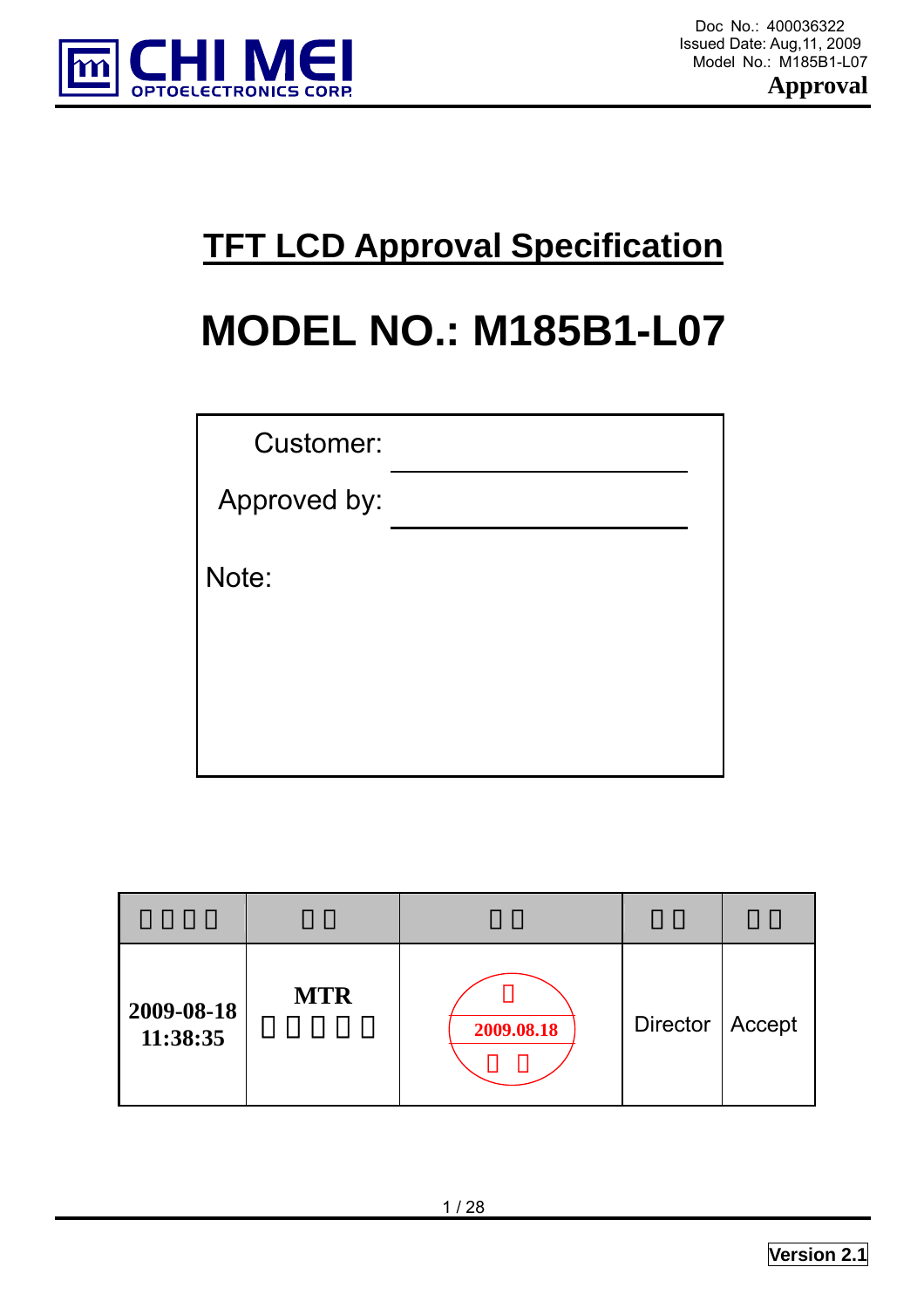

 Doc No.: 400036322 Model No.: M185B1-L07

**Approval** 

# **TFT LCD Approval Specification**

# **MODEL NO.: M185B1-L07**

| <b>Customer:</b> |  |
|------------------|--|
| Approved by:     |  |
| Note:            |  |
|                  |  |

| 2009-08-18<br>11:38:35 | <b>MTR</b> | 2009.08.18 | Director   Accept |  |
|------------------------|------------|------------|-------------------|--|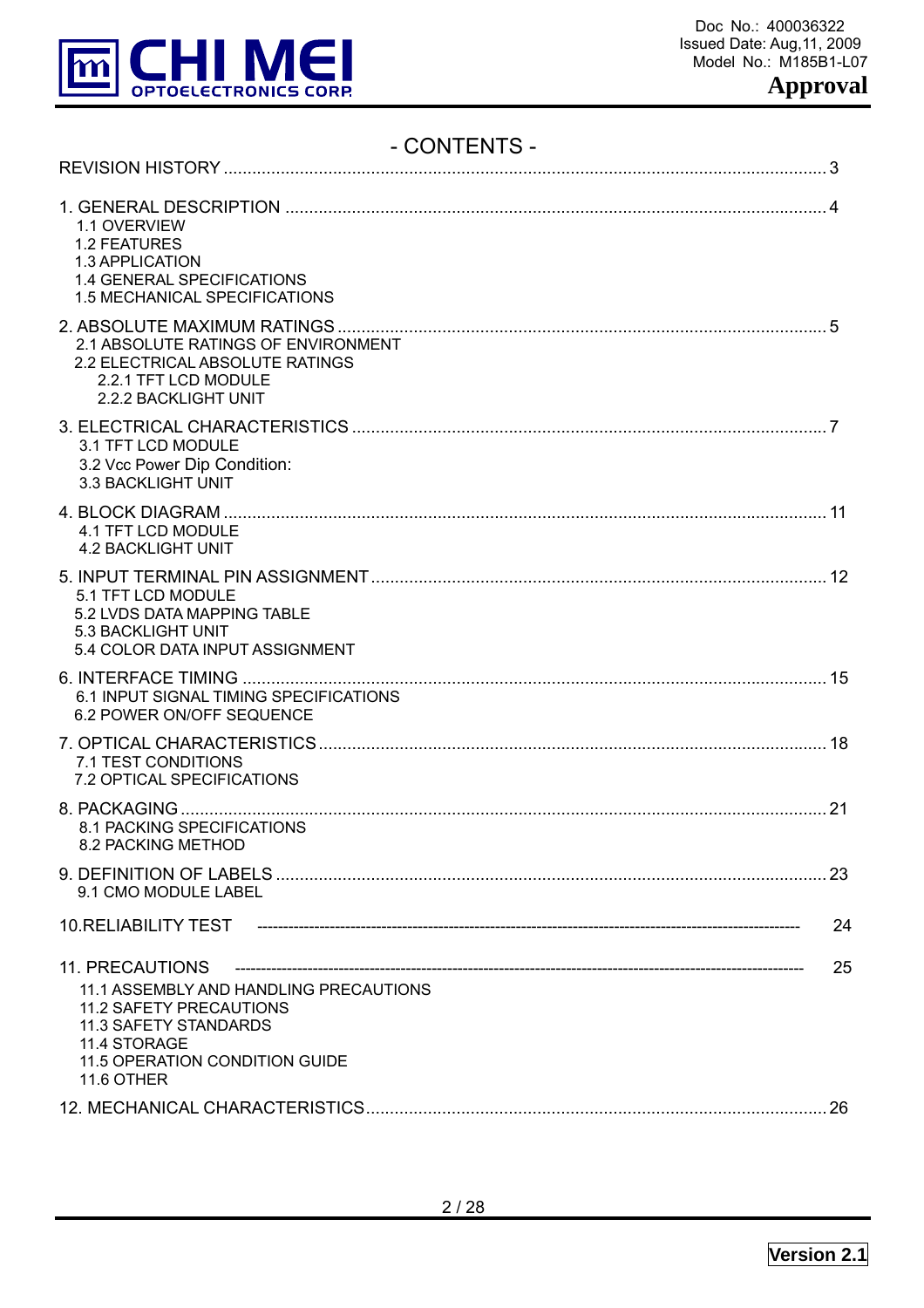

# - CONTENTS -

| 1.1 OVERVIEW<br><b>1.2 FEATURES</b><br>1.3 APPLICATION<br>1.4 GENERAL SPECIFICATIONS<br>1.5 MECHANICAL SPECIFICATIONS                                                                              |     |
|----------------------------------------------------------------------------------------------------------------------------------------------------------------------------------------------------|-----|
| 2.1 ABSOLUTE RATINGS OF ENVIRONMENT<br>2.2 ELECTRICAL ABSOLUTE RATINGS<br>2.2.1 TFT LCD MODULE<br>2.2.2 BACKLIGHT UNIT                                                                             |     |
| 3.1 TFT LCD MODULE<br>3.2 Vcc Power Dip Condition:<br>3.3 BACKLIGHT UNIT                                                                                                                           |     |
| 4.1 TFT LCD MODULE<br><b>4.2 BACKLIGHT UNIT</b>                                                                                                                                                    |     |
| 5.1 TFT LCD MODULE<br>5.2 LVDS DATA MAPPING TABLE<br>5.3 BACKLIGHT UNIT<br>5.4 COLOR DATA INPUT ASSIGNMENT                                                                                         |     |
| 6.1 INPUT SIGNAL TIMING SPECIFICATIONS<br>6.2 POWER ON/OFF SEQUENCE                                                                                                                                |     |
| 7.1 TEST CONDITIONS<br>7.2 OPTICAL SPECIFICATIONS                                                                                                                                                  |     |
| 8.1 PACKING SPECIFICATIONS<br>8.2 PACKING METHOD                                                                                                                                                   |     |
| 9.1 CMO MODULE LABEL                                                                                                                                                                               | -23 |
|                                                                                                                                                                                                    | 24  |
| <b>11. PRECAUTIONS</b><br>11.1 ASSEMBLY AND HANDLING PRECAUTIONS<br>11.2 SAFETY PRECAUTIONS<br><b>11.3 SAFETY STANDARDS</b><br>11.4 STORAGE<br>11.5 OPERATION CONDITION GUIDE<br><b>11.6 OTHER</b> | 25  |
|                                                                                                                                                                                                    |     |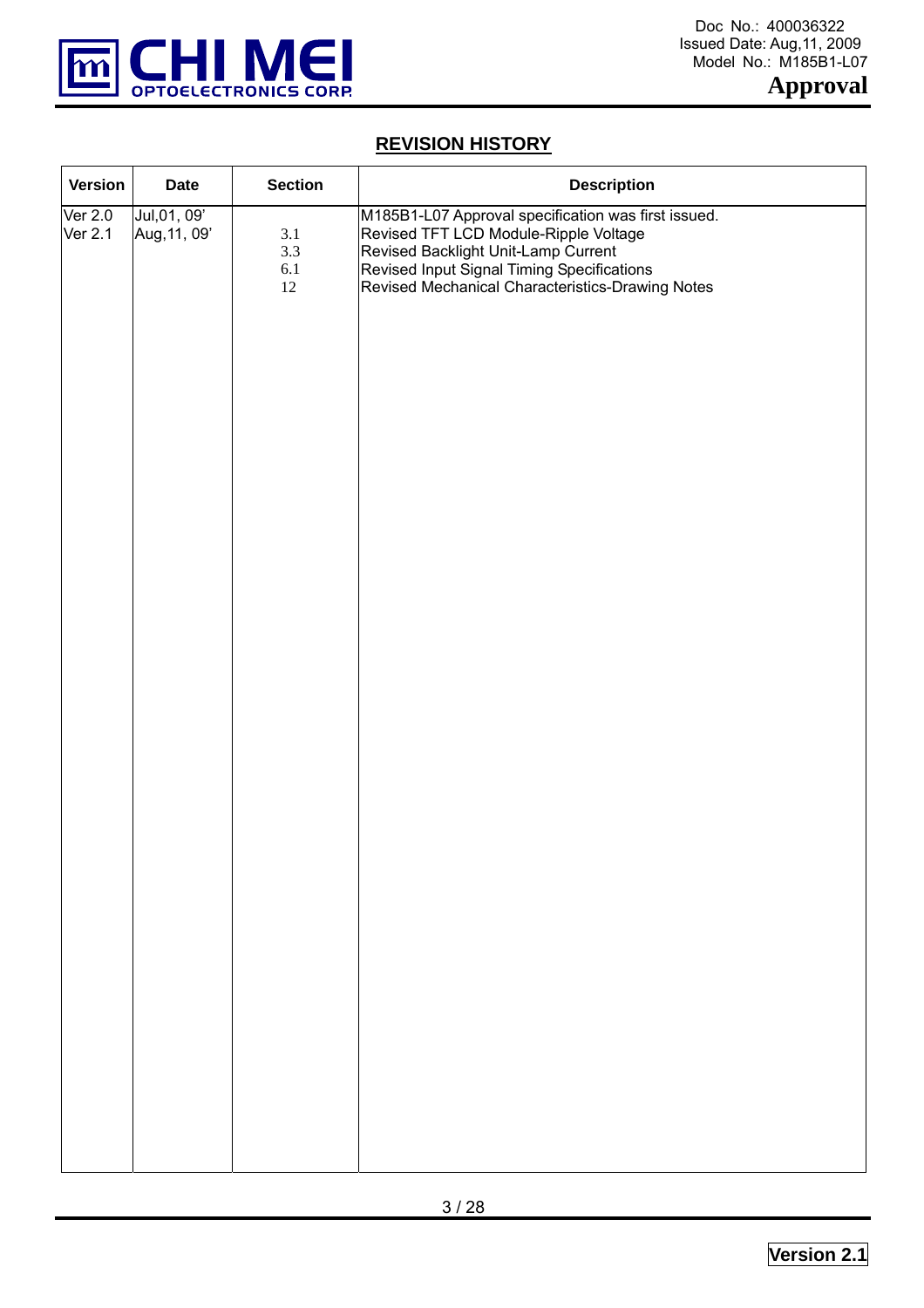

# **REVISION HISTORY**

| <b>Version</b>            | <b>Date</b>                  | <b>Section</b>                  | <b>Description</b>                                                                                                                                                                                                                    |
|---------------------------|------------------------------|---------------------------------|---------------------------------------------------------------------------------------------------------------------------------------------------------------------------------------------------------------------------------------|
| <b>Ver 2.0</b><br>Ver 2.1 | Jul, 01, 09'<br>Aug, 11, 09' | 3.1<br>3.3<br>$6.1\,$<br>$12\,$ | M185B1-L07 Approval specification was first issued.<br>Revised TFT LCD Module-Ripple Voltage<br>Revised Backlight Unit-Lamp Current<br>Revised Input Signal Timing Specifications<br>Revised Mechanical Characteristics-Drawing Notes |
|                           |                              |                                 |                                                                                                                                                                                                                                       |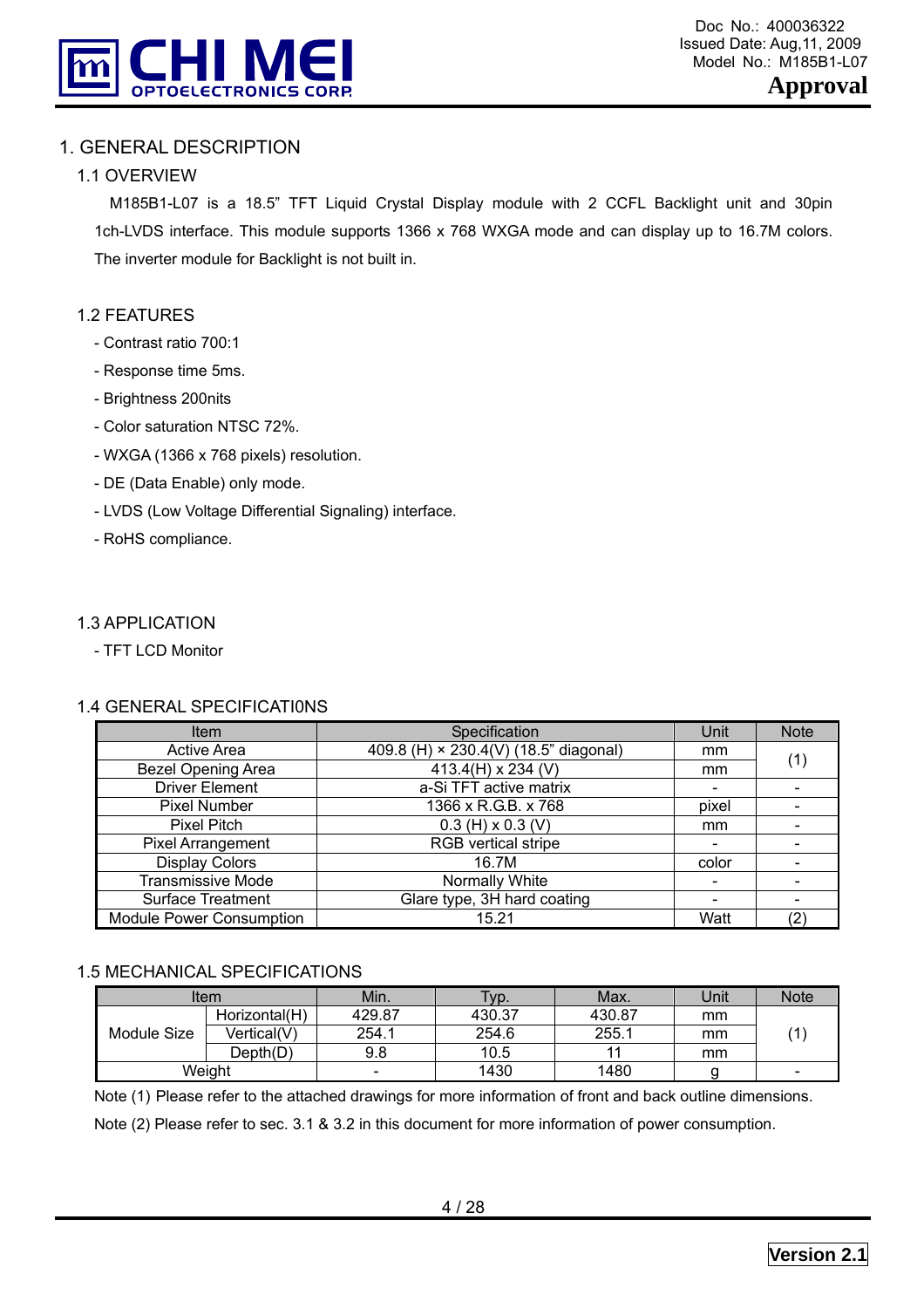

# 1. GENERAL DESCRIPTION

# 1.1 OVERVIEW

 M185B1-L07 is a 18.5" TFT Liquid Crystal Display module with 2 CCFL Backlight unit and 30pin 1ch-LVDS interface. This module supports 1366 x 768 WXGA mode and can display up to 16.7M colors. The inverter module for Backlight is not built in.

# 1.2 FEATURES

- Contrast ratio 700:1
- Response time 5ms.
- Brightness 200nits
- Color saturation NTSC 72%.
- WXGA (1366 x 768 pixels) resolution.
- DE (Data Enable) only mode.
- LVDS (Low Voltage Differential Signaling) interface.
- RoHS compliance.

#### 1.3 APPLICATION

- TFT LCD Monitor

#### 1.4 GENERAL SPECIFICATI0NS

| Item                            | Specification                         | Unit                         | <b>Note</b> |
|---------------------------------|---------------------------------------|------------------------------|-------------|
| <b>Active Area</b>              | 409.8 (H) × 230.4(V) (18.5" diagonal) | mm                           | (1)         |
| <b>Bezel Opening Area</b>       | 413.4(H) x 234 (V)                    | mm                           |             |
| <b>Driver Element</b>           | a-Si TFT active matrix                |                              |             |
| <b>Pixel Number</b>             | 1366 x R.G.B. x 768                   | pixel                        |             |
| <b>Pixel Pitch</b>              | $0.3$ (H) x $0.3$ (V)                 | mm                           |             |
| Pixel Arrangement               | RGB vertical stripe                   |                              |             |
| <b>Display Colors</b>           | 16.7M                                 | color                        |             |
| <b>Transmissive Mode</b>        | Normally White                        | $\qquad \qquad \blacksquare$ |             |
| <b>Surface Treatment</b>        | Glare type, 3H hard coating           |                              |             |
| <b>Module Power Consumption</b> | 15.21                                 | Watt                         | (2)         |

## 1.5 MECHANICAL SPECIFICATIONS

|             | Item          | Min.                     | Typ.   | Max.   | Unit | <b>Note</b> |
|-------------|---------------|--------------------------|--------|--------|------|-------------|
|             | Horizontal(H) | 429.87                   | 430.37 | 430.87 | mm   |             |
| Module Size | Vertical(V)   | 254.1                    | 254.6  | 255.1  | mm   |             |
|             | Depth(D)      | 9.8                      | 10.5   |        | mm   |             |
|             | Weight        | $\overline{\phantom{0}}$ | 1430   | 1480   |      |             |

Note (1) Please refer to the attached drawings for more information of front and back outline dimensions.

Note (2) Please refer to sec. 3.1 & 3.2 in this document for more information of power consumption.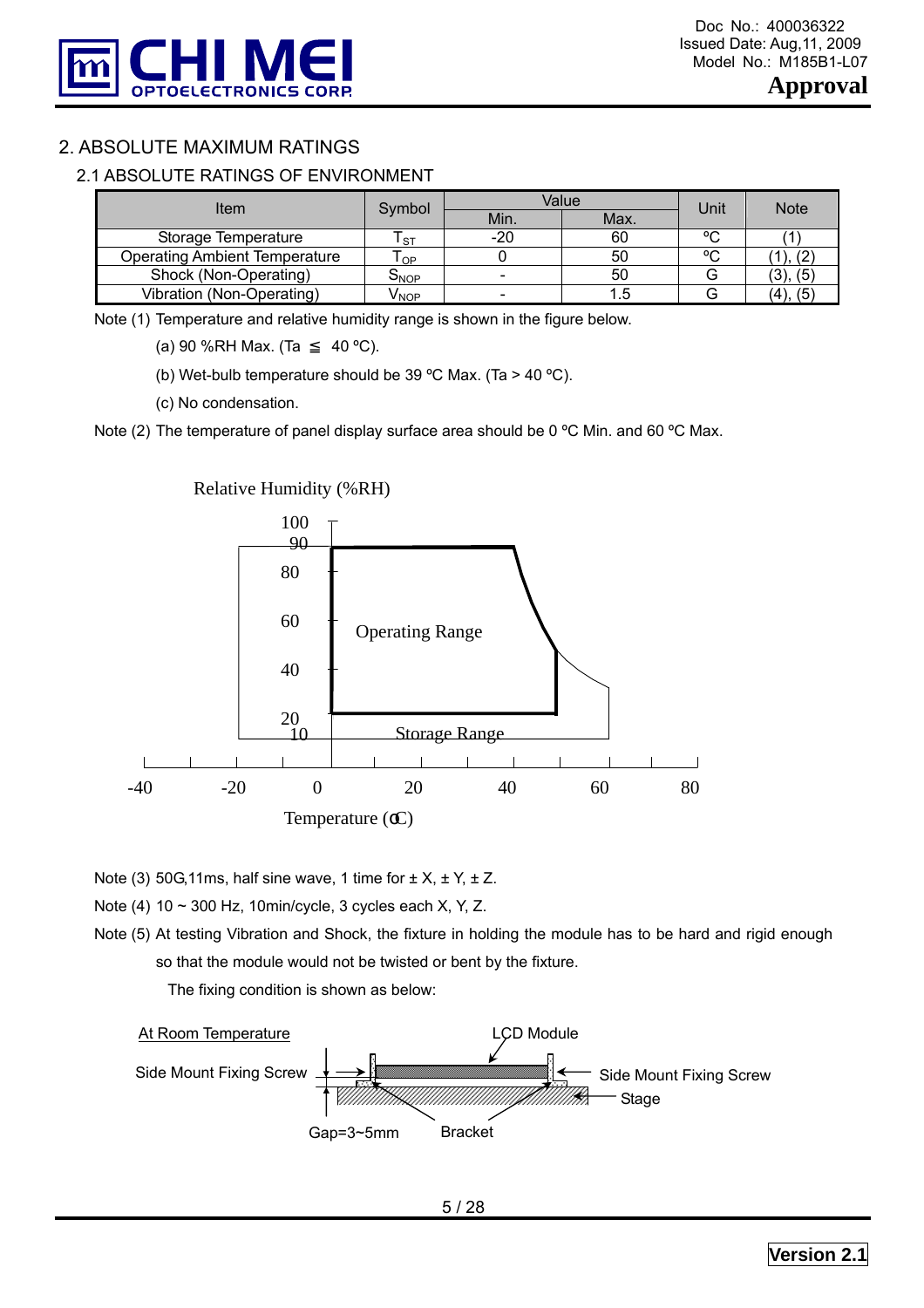

# 2. ABSOLUTE MAXIMUM RATINGS

#### 2.1 ABSOLUTE RATINGS OF ENVIRONMENT

| Item                                 | Symbol    | Value | Unit | <b>Note</b> |               |  |
|--------------------------------------|-----------|-------|------|-------------|---------------|--|
|                                      |           | Min.  | Max. |             |               |  |
| Storage Temperature                  | <b>ST</b> | -20   | 60   | $\sim$      |               |  |
| <b>Operating Ambient Temperature</b> | l OP      |       | 50   | $\sim$      |               |  |
| Shock (Non-Operating)                | ONOP      |       | 50   |             | (3), (5)      |  |
| Vibration (Non-Operating)            | V NOP     |       |      |             | $(4)$ ,<br>(5 |  |

Note (1) Temperature and relative humidity range is shown in the figure below.

(a) 90 %RH Max. (Ta  $40 °C$ ).

(b) Wet-bulb temperature should be 39 °C Max. (Ta > 40 °C).

(c) No condensation.

Note (2) The temperature of panel display surface area should be 0 °C Min. and 60 °C Max.



Note (3) 50G,11ms, half sine wave, 1 time for  $\pm X$ ,  $\pm Y$ ,  $\pm Z$ .

Note (4) 10 ~ 300 Hz, 10min/cycle, 3 cycles each X, Y, Z.

Note (5) At testing Vibration and Shock, the fixture in holding the module has to be hard and rigid enough so that the module would not be twisted or bent by the fixture.

The fixing condition is shown as below:

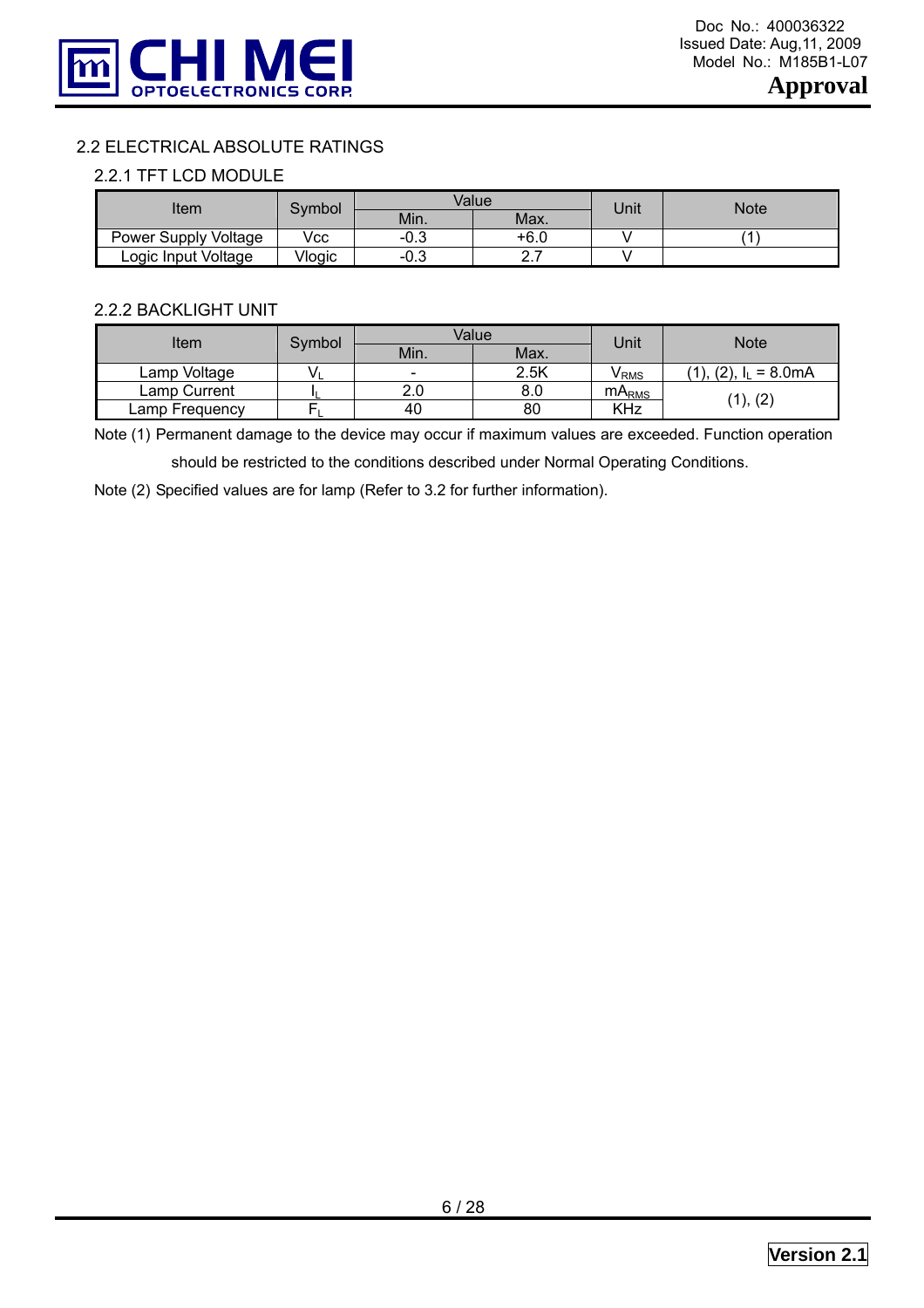

#### 2.2 ELECTRICAL ABSOLUTE RATINGS

#### 2.2.1 TFT LCD MODULE

| ltem                 | Symbol |             | Value         | Unit | Note |
|----------------------|--------|-------------|---------------|------|------|
|                      |        | Min.        | Max.          |      |      |
| Power Supply Voltage | Vcc    | $-0.3$      | +6.0          |      |      |
| Logic Input Voltage  | Vlogic | ∩ ว<br>ن.∪- | –<br><u>.</u> |      |      |

#### 2.2.2 BACKLIGHT UNIT

| Item           | Symbol |                          | Value | Unit              | <b>Note</b>                      |
|----------------|--------|--------------------------|-------|-------------------|----------------------------------|
|                |        | Min.                     | Max.  |                   |                                  |
| Lamp Voltage   |        | $\overline{\phantom{0}}$ | 2.5K  | V RMS             | (2), I <sub>1</sub><br>$= 8.0mA$ |
| Lamp Current   |        | 2.0                      | 8.0   | mA <sub>RMS</sub> |                                  |
| Lamp Frequency |        | 40                       | 80    | KHz               | (1), (2)                         |

Note (1) Permanent damage to the device may occur if maximum values are exceeded. Function operation

should be restricted to the conditions described under Normal Operating Conditions.

Note (2) Specified values are for lamp (Refer to 3.2 for further information).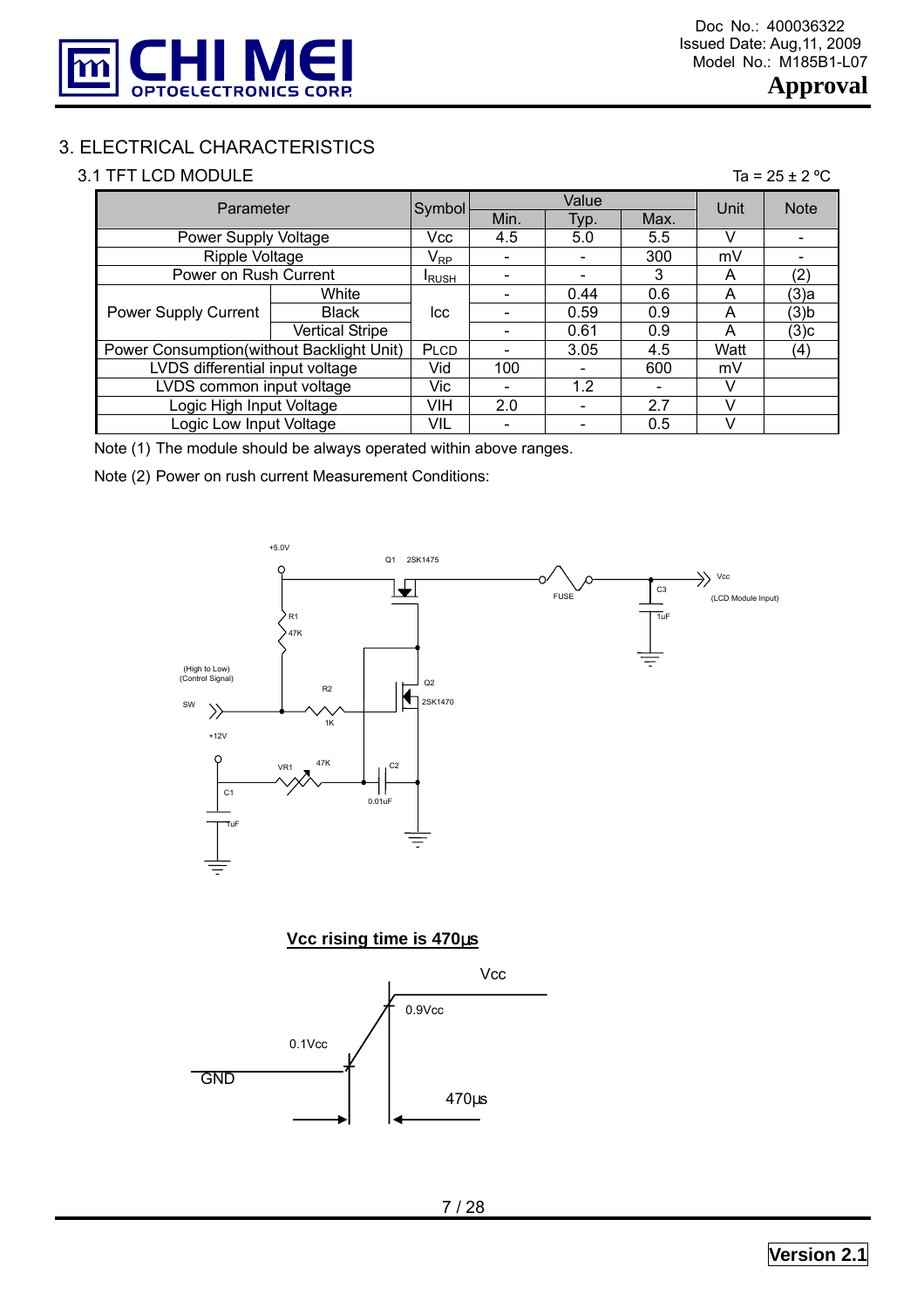

# 3. ELECTRICAL CHARACTERISTICS

#### 3.1 TFT LCD MODULE

| ıа | $25 +$ |  |  | $\pm 2$ ° |
|----|--------|--|--|-----------|
|----|--------|--|--|-----------|

| Parameter                                 |                        | Symbol                     |      | Value | Unit | <b>Note</b> |         |
|-------------------------------------------|------------------------|----------------------------|------|-------|------|-------------|---------|
|                                           |                        | Min.                       | Typ. | Max.  |      |             |         |
| Power Supply Voltage                      |                        | Vcc                        | 4.5  | 5.0   | 5.5  |             |         |
| Ripple Voltage                            |                        | $\mathsf{V}_{\mathsf{RP}}$ |      |       | 300  | mV          |         |
| Power on Rush Current                     |                        | <b>IRUSH</b>               |      |       | 3    | A           | (2)     |
|                                           | White                  |                            |      | 0.44  | 0.6  | A           | (3)a    |
| Power Supply Current                      | <b>Black</b>           | lcc                        |      | 0.59  | 0.9  | A           | $(3)$ b |
|                                           | <b>Vertical Stripe</b> |                            |      | 0.61  | 0.9  | A           | (3)c    |
| Power Consumption(without Backlight Unit) |                        | PLCD                       |      | 3.05  | 4.5  | Watt        | (4)     |
| LVDS differential input voltage           |                        | Vid                        | 100  |       | 600  | mV          |         |
| LVDS common input voltage                 |                        | Vic                        |      | 1.2   |      | V           |         |
| Logic High Input Voltage                  |                        | VIH                        | 2.0  |       | 2.7  |             |         |
| Logic Low Input Voltage                   |                        | <b>VIL</b>                 |      |       | 0.5  |             |         |

Note (1) The module should be always operated within above ranges.

Note (2) Power on rush current Measurement Conditions:



#### **Vcc rising time is 470**µ**s**

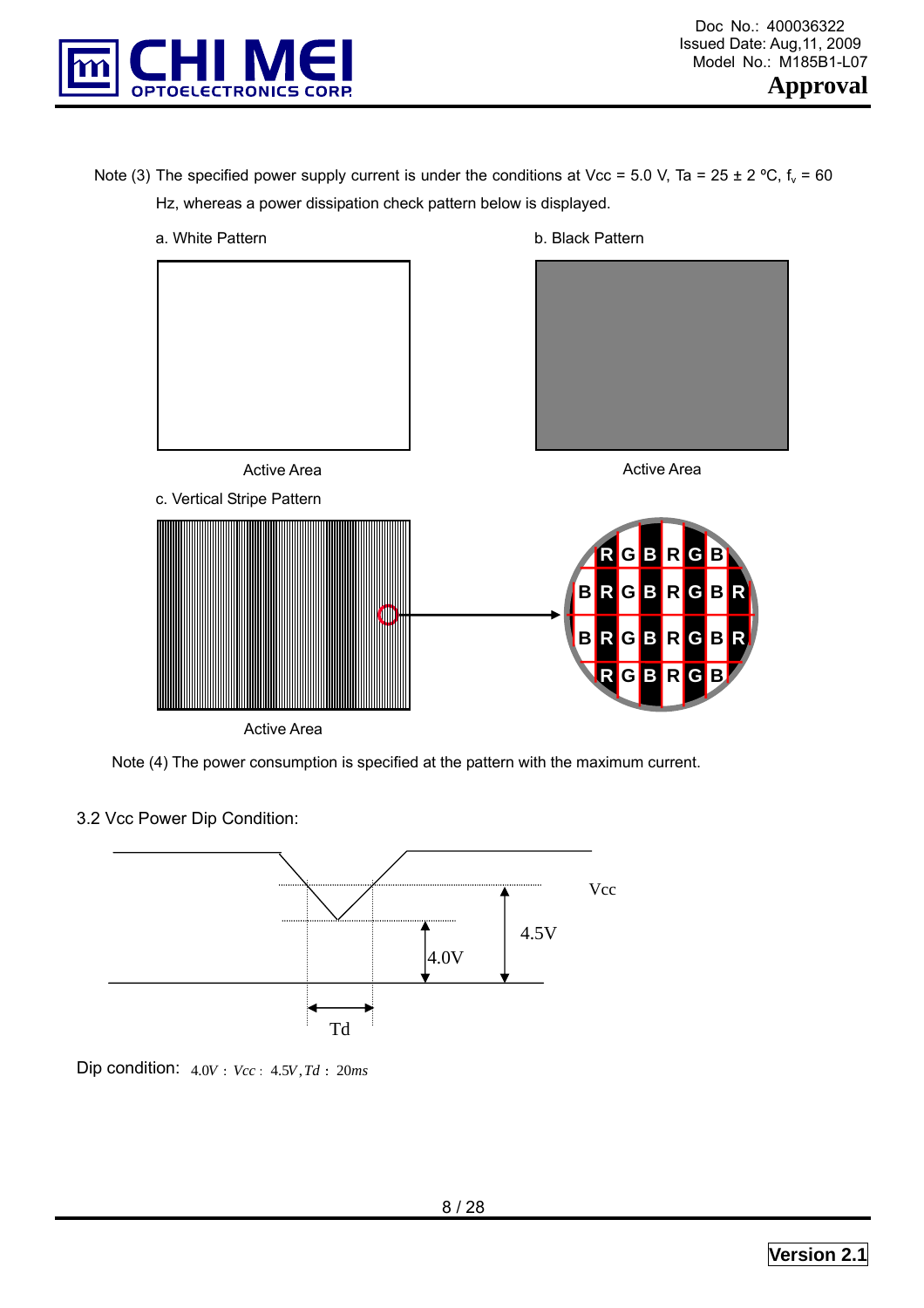

Note (3) The specified power supply current is under the conditions at Vcc = 5.0 V, Ta = 25 ± 2 °C,  $f_v$  = 60 Hz, whereas a power dissipation check pattern below is displayed.



Note (4) The power consumption is specified at the pattern with the maximum current.

3.2 Vcc Power Dip Condition:



Dip condition:  $4.0V : Vcc : 4.5V, Td : 20ms$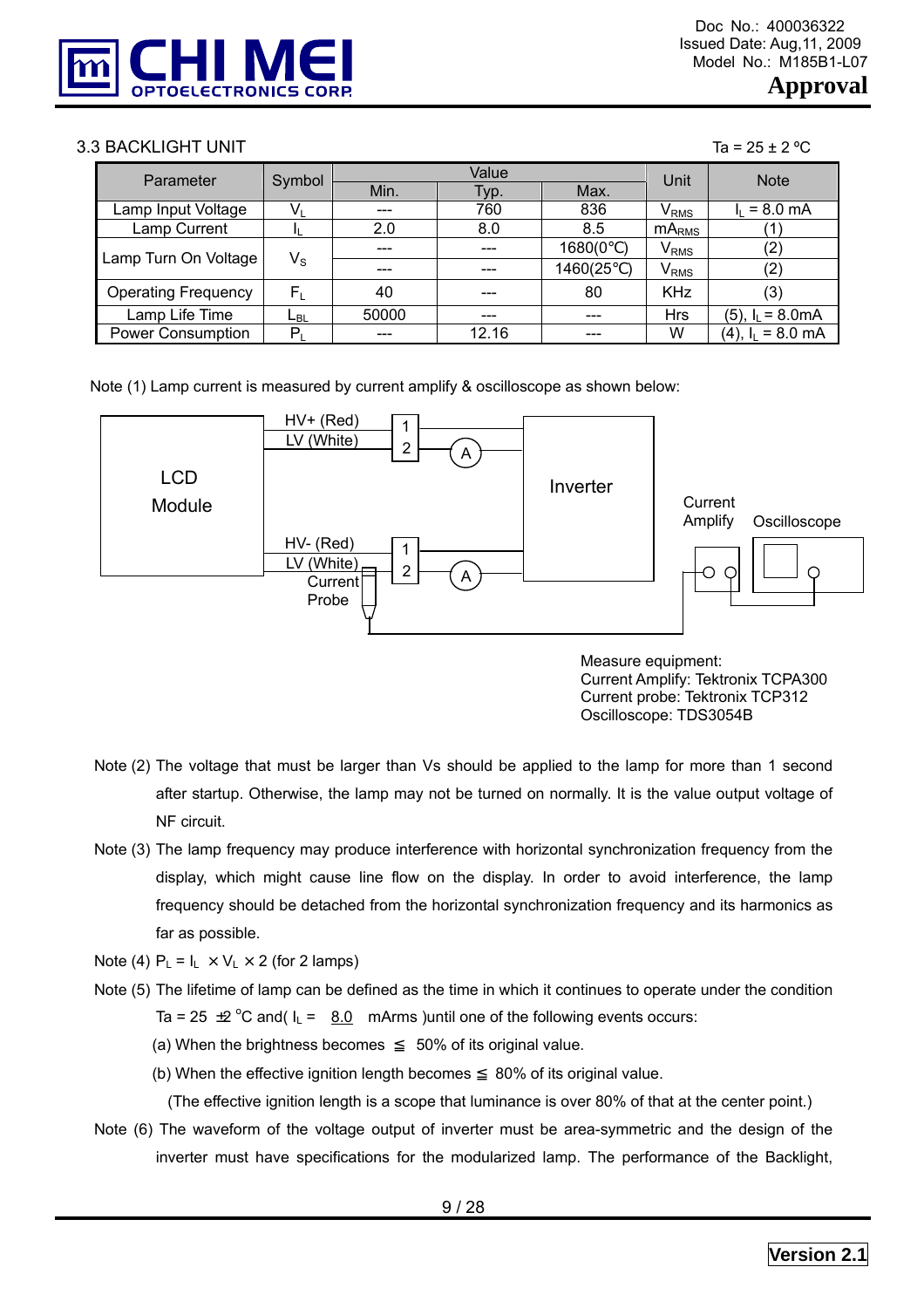

#### $3.3$  BACKLIGHT UNIT Tags and the set of the set of the set of the set of the set of the set of the set of the set of the set of the set of the set of the set of the set of the set of the set of the set of the set of the

| Parameter                  | Symbol                  |       | Value | Unit    | <b>Note</b>      |                               |
|----------------------------|-------------------------|-------|-------|---------|------------------|-------------------------------|
|                            |                         | Min.  | Гур.  | Max.    |                  |                               |
| Lamp Input Voltage         |                         | ---   | 760   | 836     | V <sub>RMS</sub> | $= 8.0 \text{ mA}$            |
| Lamp Current               |                         | 2.0   | 8.0   | 8.5     | $mA_{RMS}$       |                               |
| Lamp Turn On Voltage       | $\mathsf{V}_\mathsf{S}$ | ---   | ---   | 1680(0  | V <sub>RMS</sub> | (2)                           |
|                            |                         |       |       | 1460(25 | $V_{RMS}$        | (2)                           |
| <b>Operating Frequency</b> | $\mathsf{F}_\mathsf{L}$ | 40    | ---   | 80      | <b>KHz</b>       | (3)                           |
| Lamp Life Time             | L <sub>BL</sub>         | 50000 | ---   | ---     | <b>Hrs</b>       | $(5)$ , $I_L = 8.0 \text{mA}$ |
| <b>Power Consumption</b>   | P,                      | ---   | 12.16 | ---     | W                | $(4)$ , $I_L = 8.0$ mA        |

Note (1) Lamp current is measured by current amplify & oscilloscope as shown below:



 Measure equipment: Current Amplify: Tektronix TCPA300 Current probe: Tektronix TCP312 Oscilloscope: TDS3054B

- Note (2) The voltage that must be larger than Vs should be applied to the lamp for more than 1 second after startup. Otherwise, the lamp may not be turned on normally. It is the value output voltage of NF circuit.
- Note (3) The lamp frequency may produce interference with horizontal synchronization frequency from the display, which might cause line flow on the display. In order to avoid interference, the lamp frequency should be detached from the horizontal synchronization frequency and its harmonics as far as possible.

Note (4)  $P_L = I_L \times V_L \times 2$  (for 2 lamps)

- Note (5) The lifetime of lamp can be defined as the time in which it continues to operate under the condition Ta = 25  $\pm$ 2 °C and( $I_L$  =  $8.0$  mArms) until one of the following events occurs:
	- (a) When the brightness becomes 50% of its original value.
	- (b) When the effective ignition length becomes 80% of its original value.

(The effective ignition length is a scope that luminance is over 80% of that at the center point.)

Note (6) The waveform of the voltage output of inverter must be area-symmetric and the design of the inverter must have specifications for the modularized lamp. The performance of the Backlight,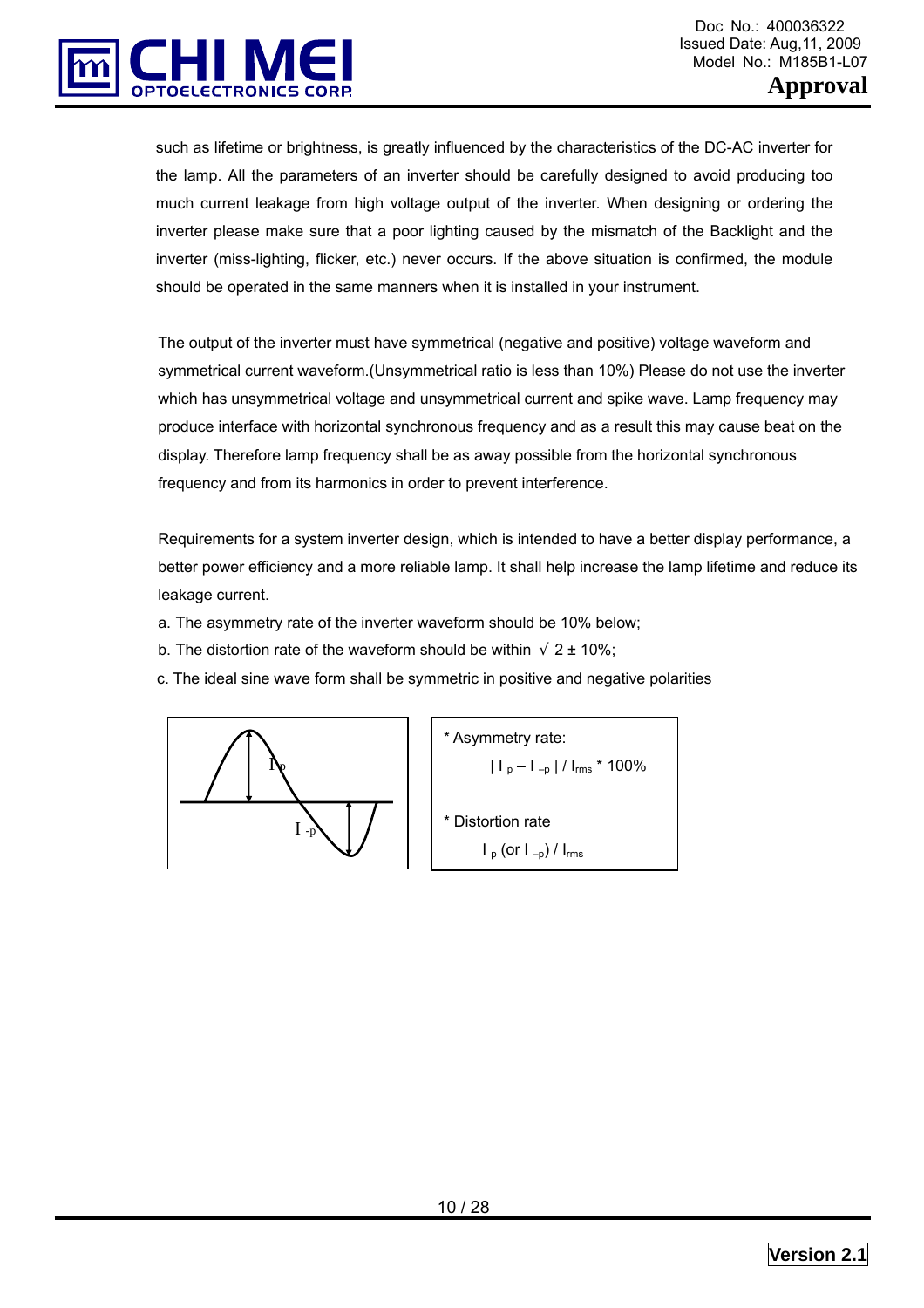

such as lifetime or brightness, is greatly influenced by the characteristics of the DC-AC inverter for the lamp. All the parameters of an inverter should be carefully designed to avoid producing too much current leakage from high voltage output of the inverter. When designing or ordering the inverter please make sure that a poor lighting caused by the mismatch of the Backlight and the inverter (miss-lighting, flicker, etc.) never occurs. If the above situation is confirmed, the module should be operated in the same manners when it is installed in your instrument.

The output of the inverter must have symmetrical (negative and positive) voltage waveform and symmetrical current waveform.(Unsymmetrical ratio is less than 10%) Please do not use the inverter which has unsymmetrical voltage and unsymmetrical current and spike wave. Lamp frequency may produce interface with horizontal synchronous frequency and as a result this may cause beat on the display. Therefore lamp frequency shall be as away possible from the horizontal synchronous frequency and from its harmonics in order to prevent interference.

Requirements for a system inverter design, which is intended to have a better display performance, a better power efficiency and a more reliable lamp. It shall help increase the lamp lifetime and reduce its leakage current.

- a. The asymmetry rate of the inverter waveform should be 10% below;
- b. The distortion rate of the waveform should be within  $2 \pm 10\%$ ;
- c. The ideal sine wave form shall be symmetric in positive and negative polarities



\* Asymmetry rate:  
\n
$$
|I_p - I_{-p}| / I_{rms} * 100\%
$$
  
\n\* Distortion rate  
\n $I_p$  (or  $I_{-p}$ ) /  $I_{rms}$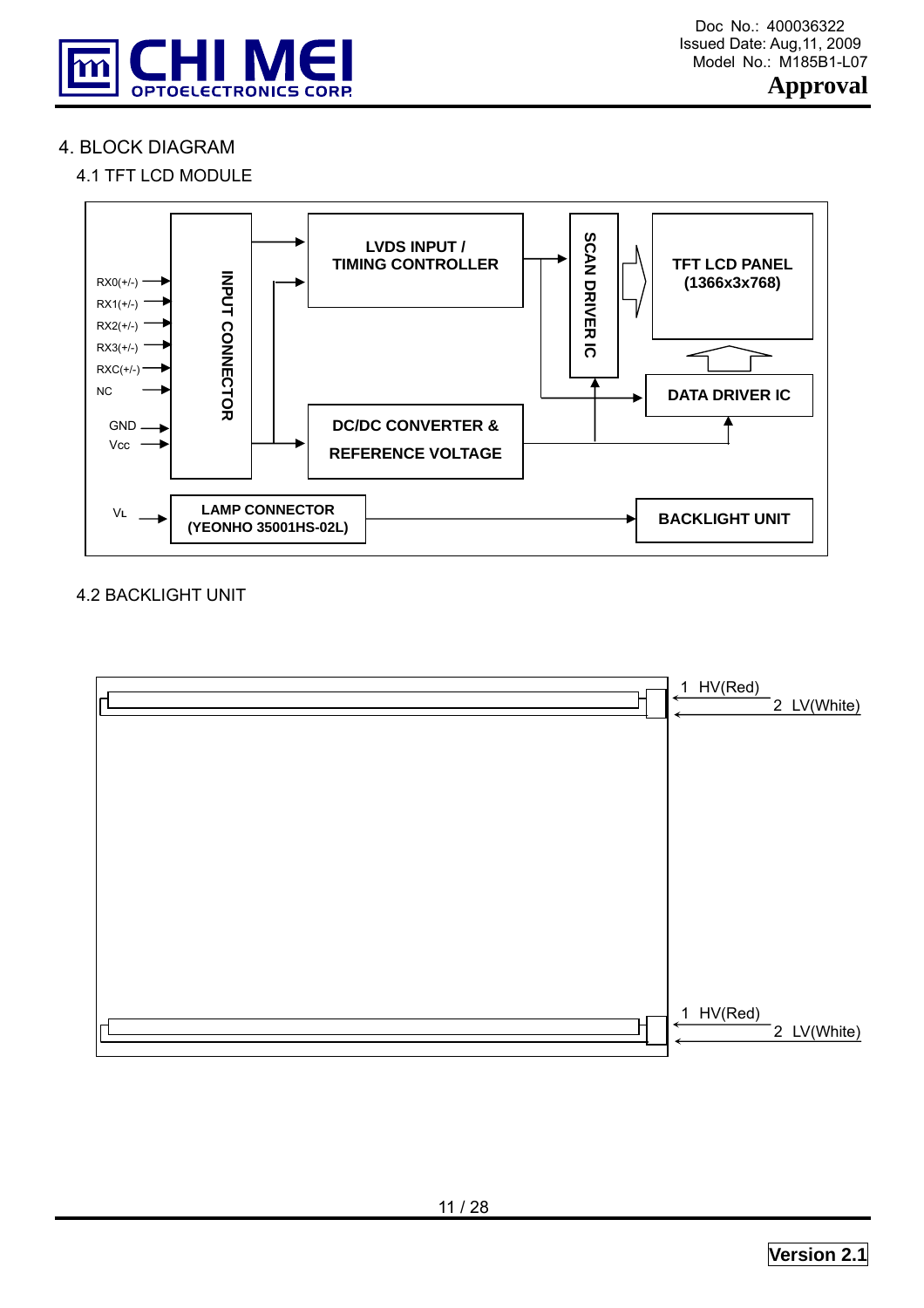

# 4. BLOCK DIAGRAM

# 4.1 TFT LCD MODULE



#### 4.2 BACKLIGHT UNIT

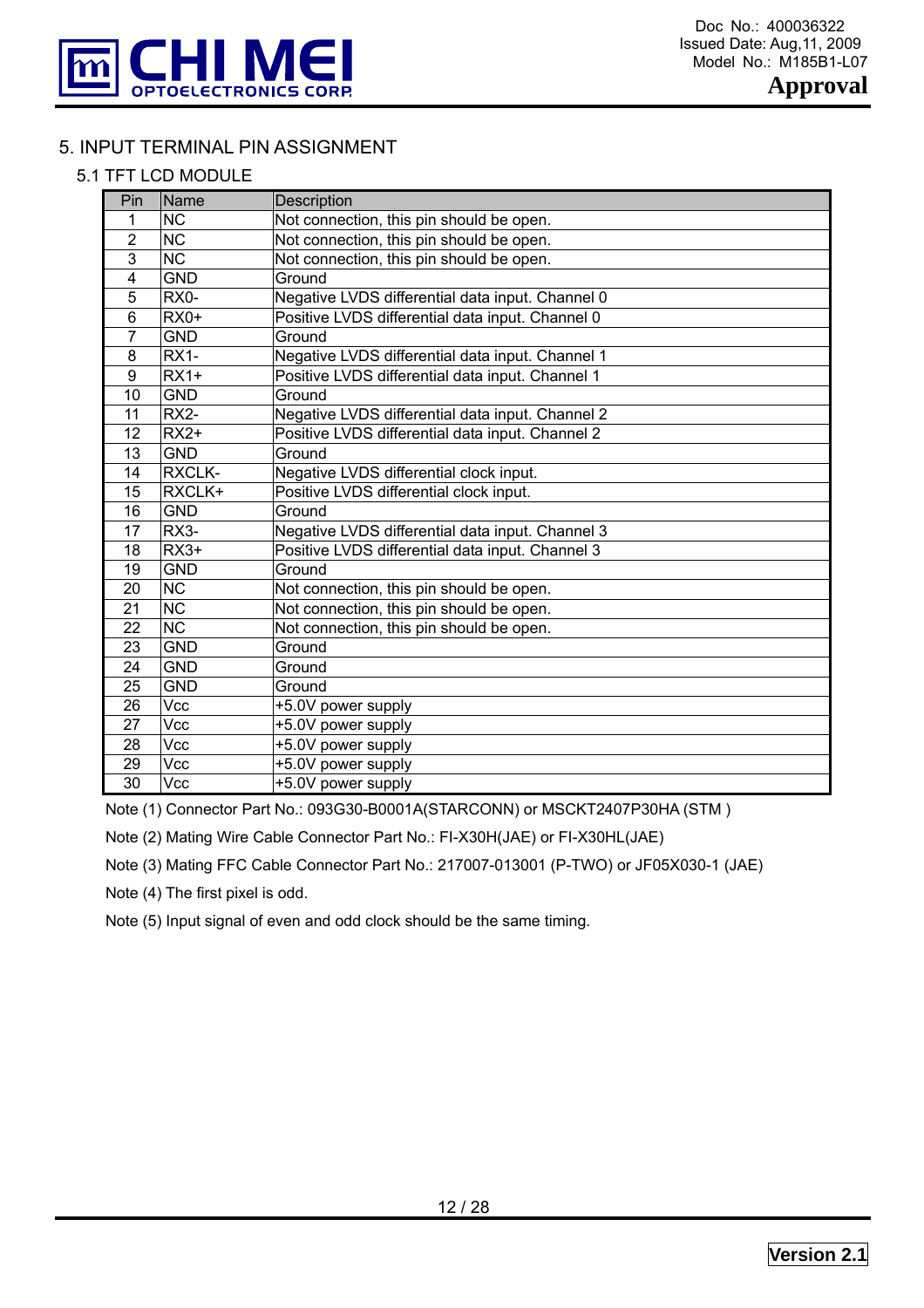

# 5. INPUT TERMINAL PIN ASSIGNMENT

#### 5.1 TFT LCD MODULE

| Pin            | Name                   | Description                                      |
|----------------|------------------------|--------------------------------------------------|
| 1              | <b>NC</b>              | Not connection, this pin should be open.         |
| $\overline{2}$ | <b>NC</b>              | Not connection, this pin should be open.         |
| 3              | <b>NC</b>              | Not connection, this pin should be open.         |
| $\overline{4}$ | <b>GND</b>             | Ground                                           |
| 5              | RX0-                   | Negative LVDS differential data input. Channel 0 |
| 6              | $RX0+$                 | Positive LVDS differential data input. Channel 0 |
| 7              | <b>GND</b>             | Ground                                           |
| 8              | $RX1-$                 | Negative LVDS differential data input. Channel 1 |
| 9              | $RX1+$                 | Positive LVDS differential data input. Channel 1 |
| 10             | <b>GND</b>             | Ground                                           |
| 11             | RX2-                   | Negative LVDS differential data input. Channel 2 |
| 12             | $RX2+$                 | Positive LVDS differential data input. Channel 2 |
| 13             | <b>GND</b>             | Ground                                           |
| 14             | <b>RXCLK-</b>          | Negative LVDS differential clock input.          |
| 15             | RXCLK+                 | Positive LVDS differential clock input.          |
| 16             | <b>GND</b>             | Ground                                           |
| 17             | RX3-                   | Negative LVDS differential data input. Channel 3 |
| 18             | $RX3+$                 | Positive LVDS differential data input. Channel 3 |
| 19             | <b>GND</b>             | Ground                                           |
| 20             | <b>NC</b>              | Not connection, this pin should be open.         |
| 21             | $\overline{\text{NC}}$ | Not connection, this pin should be open.         |
| 22             | <b>NC</b>              | Not connection, this pin should be open.         |
| 23             | <b>GND</b>             | Ground                                           |
| 24             | <b>GND</b>             | Ground                                           |
| 25             | <b>GND</b>             | Ground                                           |
| 26             | Vcc                    | +5.0V power supply                               |
| 27             | Vcc                    | +5.0V power supply                               |
| 28             | Vcc                    | +5.0V power supply                               |
| 29             | Vcc                    | +5.0V power supply                               |
| 30             | Vcc                    | +5.0V power supply                               |

Note (1) Connector Part No.: 093G30-B0001A(STARCONN) or MSCKT2407P30HA (STM )

Note (2) Mating Wire Cable Connector Part No.: FI-X30H(JAE) or FI-X30HL(JAE)

Note (3) Mating FFC Cable Connector Part No.: 217007-013001 (P-TWO) or JF05X030-1 (JAE)

Note (4) The first pixel is odd.

Note (5) Input signal of even and odd clock should be the same timing.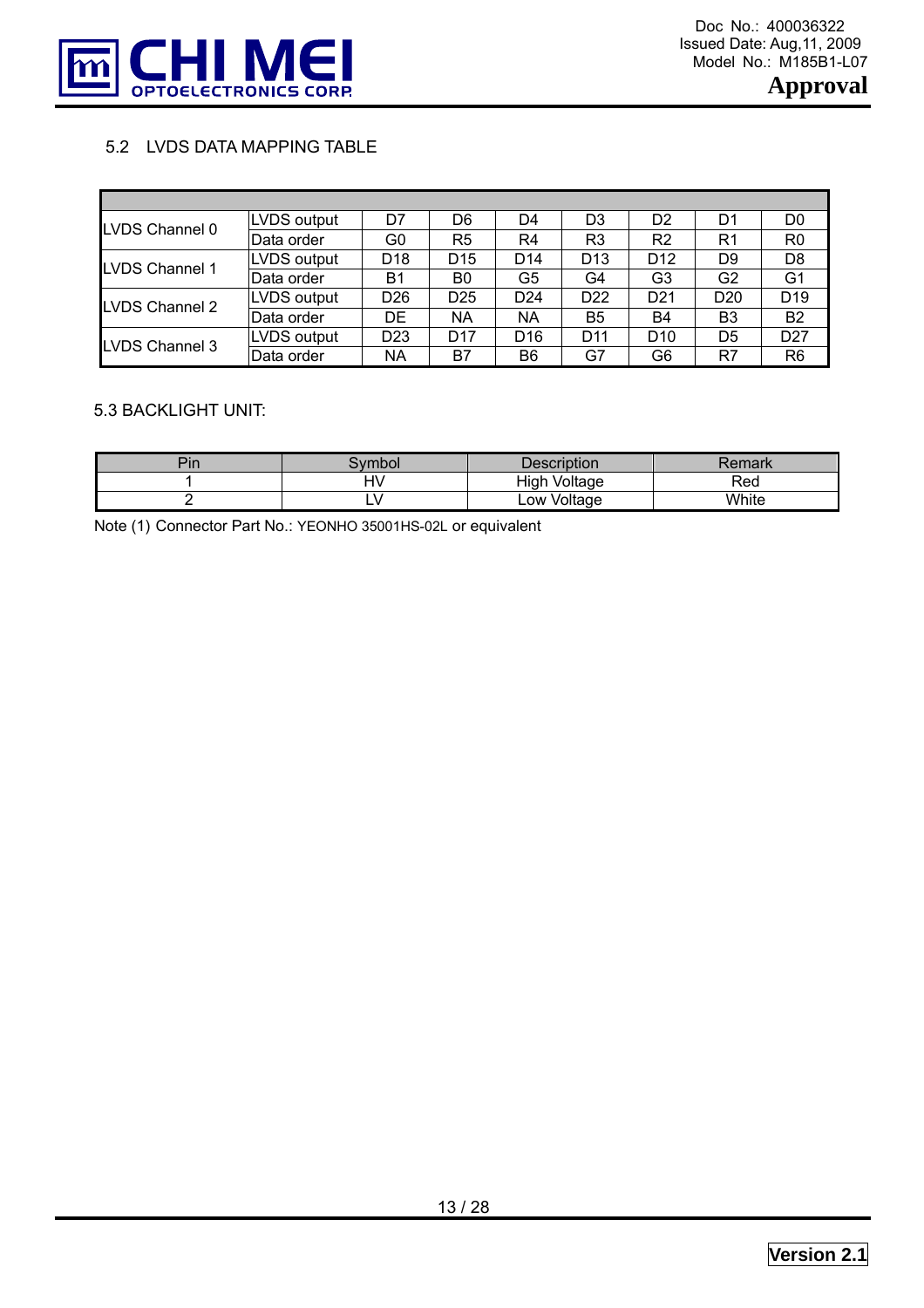

## 5.2 LVDS DATA MAPPING TABLE

| LVDS Channel 0        | LVDS output | D7              | D6              | D4              | D3              | D <sub>2</sub>  | D1              | D0              |
|-----------------------|-------------|-----------------|-----------------|-----------------|-----------------|-----------------|-----------------|-----------------|
|                       | Data order  | G0              | R5              | R4              | R <sub>3</sub>  | R2              | R <sub>1</sub>  | R0              |
| <b>LVDS Channel 1</b> | LVDS output | D <sub>18</sub> | D <sub>15</sub> | D <sub>14</sub> | D <sub>13</sub> | D <sub>12</sub> | D9              | D8              |
|                       | Data order  | B1              | B0              | G5              | G4              | G <sub>3</sub>  | G <sub>2</sub>  | G <sub>1</sub>  |
| LVDS Channel 2        | LVDS output | D <sub>26</sub> | D <sub>25</sub> | D <sub>24</sub> | D <sub>22</sub> | D <sub>21</sub> | D <sub>20</sub> | D <sub>19</sub> |
|                       | Data order  | DE              | ΝA              | ΝA              | B <sub>5</sub>  | <b>B4</b>       | B <sub>3</sub>  | <b>B2</b>       |
| <b>LVDS Channel 3</b> | LVDS output | D <sub>23</sub> | D <sub>17</sub> | D <sub>16</sub> | D <sub>11</sub> | D <sub>10</sub> | D5              | D <sub>27</sub> |
|                       | Data order  | <b>NA</b>       | B7              | B <sub>6</sub>  | G7              | G6              | R7              | R6              |

#### 5.3 BACKLIGHT UNIT:

| Ē.<br>Pin | vmbol      | Description     | ≀emark |
|-----------|------------|-----------------|--------|
|           | ⊣\′<br>ע ו | High<br>Voltage | Rea    |
|           | - 1        | Voltage<br>LOW' | White  |

Note (1) Connector Part No.: YEONHO 35001HS-02L or equivalent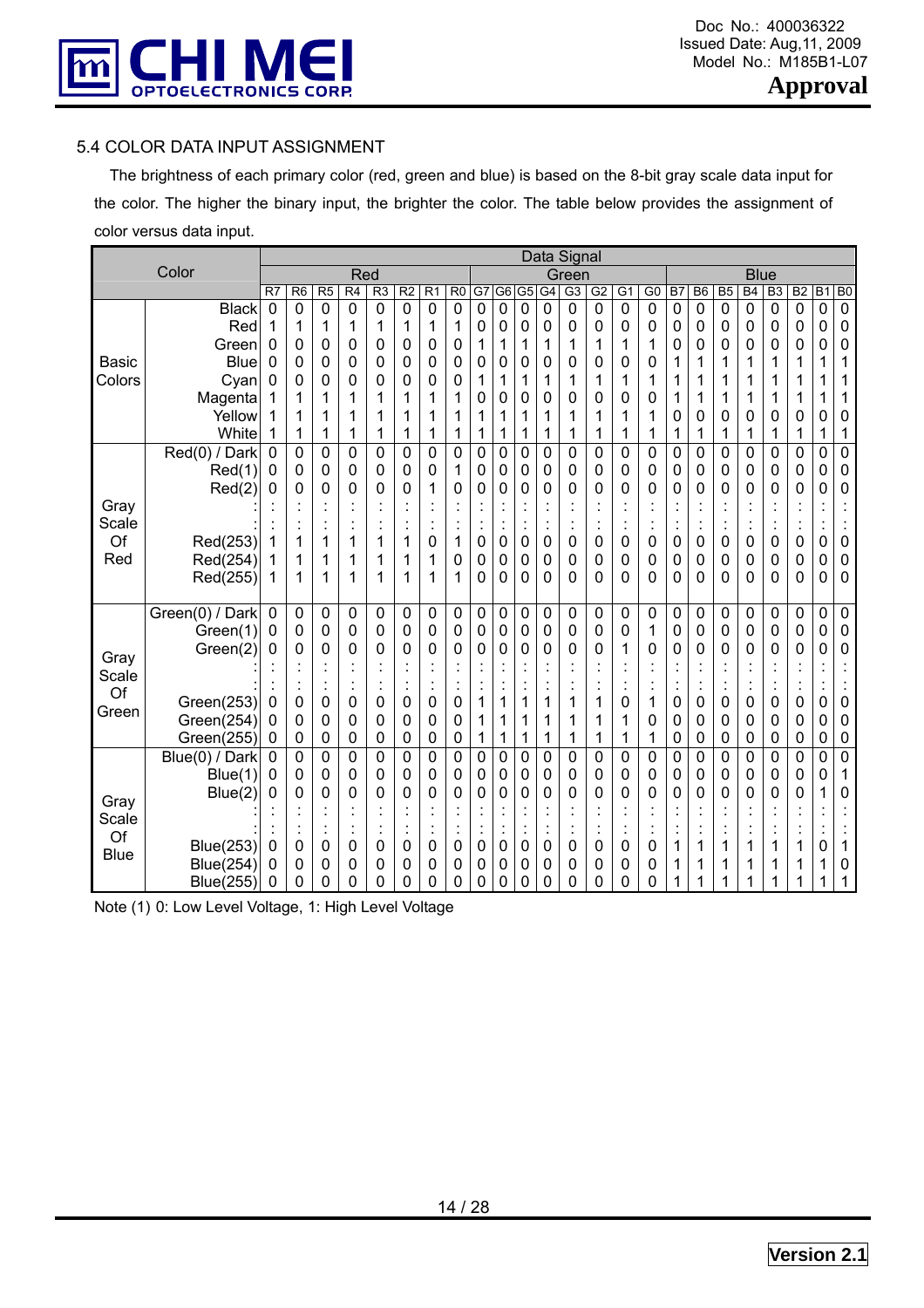

#### 5.4 COLOR DATA INPUT ASSIGNMENT

 The brightness of each primary color (red, green and blue) is based on the 8-bit gray scale data input for the color. The higher the binary input, the brighter the color. The table below provides the assignment of color versus data input.

|               |                  |             | Data Signal    |                |                 |                |                |                                  |                |        |    |                |                 |                |             |                           |                |        |                |                |                           |                |                      |                |                |
|---------------|------------------|-------------|----------------|----------------|-----------------|----------------|----------------|----------------------------------|----------------|--------|----|----------------|-----------------|----------------|-------------|---------------------------|----------------|--------|----------------|----------------|---------------------------|----------------|----------------------|----------------|----------------|
|               | Color            |             |                |                | Red             |                |                |                                  |                |        |    |                |                 | Green          |             |                           |                |        |                |                | <b>Blue</b>               |                |                      |                |                |
|               |                  | R7          | R <sub>6</sub> | R <sub>5</sub> | $\overline{R4}$ | R <sub>3</sub> | R <sub>2</sub> | R <sub>1</sub>                   | R <sub>0</sub> | G7     | G6 | G <sub>5</sub> | $\overline{G4}$ | G3             | G2          | $\overline{G1}$           | $\overline{G}$ | B7     | B <sub>6</sub> | B <sub>5</sub> | B4                        | B <sub>3</sub> | B <sub>2</sub>       | $\overline{B}$ | B <sub>0</sub> |
|               | <b>Black</b>     | $\mathbf 0$ | $\mathbf 0$    | $\mathbf 0$    | 0               | 0              | $\mathbf 0$    | $\mathbf 0$                      | $\mathbf 0$    | 0      | 0  | $\mathbf 0$    | $\mathbf 0$     | 0              | $\mathbf 0$ | $\mathbf 0$               | $\mathbf 0$    | 0      | $\mathbf 0$    | $\mathbf 0$    | 0                         | $\mathbf 0$    | $\mathbf 0$          | $\mathbf 0$    | $\mathbf 0$    |
|               | Red              | 1           | 1              | 1              | 1               | 1              | 1              | 1                                | 1              | 0      | 0  | 0              | 0               | 0              | 0           | 0                         | 0              | 0      | 0              | 0              | 0                         | 0              | 0                    | 0              | 0              |
|               | Green            | 0           | 0              | 0              | 0               | 0              | 0              | 0                                | 0              | 1      | 1  | 1              | 1               | 1              | 1           | 1                         | 1              | 0      | 0              | 0              | 0                         | 0              | 0                    | 0              | 0              |
| <b>Basic</b>  | <b>Blue</b>      | 0           | 0              | 0              | 0               | 0              | 0              | 0                                | 0              | 0      | 0  | 0              | 0               | 0              | 0           | 0                         | 0              | 1      | 1              | 1              | 1                         | 1              | 1                    | 1              | 1              |
| Colors        | Cyan             | 0           | 0              | 0              | 0               | 0              | 0              | 0                                | 0              | 1      | 1  | 1              | 1               | 1              | 1           | 1                         | 1              | 1      | 1              | 1              | 1                         | 1              | 1                    | 1              | 1              |
|               | Magenta          |             | 1              | 1              | 1               | 1              | 1              | 1                                | 1              | 0      | 0  | 0              | 0               | 0              | 0           | 0                         | 0              | 1      | 1              | 1              | 1                         | 1              | 1                    | 1              | 1              |
|               | Yellow           |             | 1              |                | 1               | 1              | 1              | 1                                | 1              | 1      | 1  | 1              | 1               | 1              | 1           | 1                         | 1              | 0      | 0              | 0              | 0                         | 0              | 0                    | 0              | 0              |
|               | White            | 1           | 1              |                | 1               | 1              | 1              | 1                                | 1              | 1      | 1  | 1              | 1               | 1              | 1           | 1                         | 1              | 1      | 1              | 1              | 1                         | 1              | 1                    | 1              | 1              |
|               | Red(0) / Dark    | 0           | 0              | 0              | 0               | 0              | 0              | 0                                | 0              | 0      | 0  | 0              | $\overline{0}$  | 0              | 0           | 0                         | 0              | 0      | 0              | 0              | 0                         | 0              | 0                    | 0              | 0              |
|               | Red(1)           | 0           | 0<br>0         | 0              | 0<br>0          | 0<br>0         | 0              | 0<br>1                           | 1<br>0         | 0<br>0 | 0  | 0<br>0         | 0<br>0          | 0<br>0         | 0<br>0      | 0<br>0                    | 0              | 0<br>0 | 0<br>0         | 0              | 0<br>0                    | 0              | 0<br>0               | 0<br>0         | 0<br>0         |
| Gray          | Red(2)           | 0           |                | 0              |                 |                | 0              | $\cdot$                          |                |        | 0  |                |                 |                |             |                           | 0              |        |                | 0              |                           | 0              |                      |                |                |
| Scale         |                  |             |                |                |                 |                |                |                                  |                |        |    | $\ddot{\cdot}$ | $\ddot{\cdot}$  |                |             |                           |                |        |                |                | $\ddot{\cdot}$            |                |                      |                |                |
| Of            | Red(253)         |             | 1              | 1              | 1               | 1              | 1              | $\ddot{\phantom{a}}$<br>0        | 1              | 0      | 0  | 0              | 0               | ä,<br>0        | 0           | $\ddot{\phantom{a}}$<br>0 | 0              | 0      | $\cdot$<br>0   | 0              | 0                         | 0              | Ĭ.<br>0              | 0              | 0              |
| Red           | Red(254)         |             | 1              | 1              | 1               | 1              | 1              | 1                                | 0              | 0      | 0  | 0              | 0               | 0              | 0           | 0                         | 0              | 0      | 0              | 0              | 0                         | 0              | 0                    | 0              | 0              |
|               | Red(255)         | 1           | 1              | 1              | 1               | 1              | 1              | 1                                | 1              | 0      | 0  | 0              | 0               | 0              | 0           | 0                         | 0              | 0      | 0              | 0              | 0                         | 0              | 0                    | 0              | 0              |
|               |                  |             |                |                |                 |                |                |                                  |                |        |    |                |                 |                |             |                           |                |        |                |                |                           |                |                      |                |                |
|               | Green(0) / Dark  | 0           | 0              | 0              | 0               | 0              | 0              | 0                                | 0              | 0      | 0  | 0              | 0               | 0              | 0           | 0                         | 0              | 0      | 0              | 0              | 0                         | 0              | 0                    | 0              | 0              |
|               | Green(1)         | 0           | 0              | 0              | 0               | 0              | 0              | 0                                | 0              | 0      | 0  | 0              | 0               | 0              | 0           | 0                         | 1              | 0      | 0              | 0              | 0                         | 0              | 0                    | 0              | 0              |
|               | Green(2)         | 0           | 0              | 0              | 0               | 0              | 0              | 0                                | 0              | 0      | 0  | 0              | 0               | 0              | 0           | 1                         | 0              | 0      | 0              | 0              | 0                         | 0              | 0                    | 0              | 0              |
| Gray<br>Scale |                  |             |                |                |                 |                |                |                                  |                |        |    |                |                 |                |             |                           |                |        |                |                |                           |                |                      |                |                |
| Of            |                  |             |                |                |                 | ٠              |                | $\ddot{\cdot}$                   |                |        |    | $\ddot{\cdot}$ | ×,              |                |             |                           |                |        | t              |                | $\ddot{\cdot}$            | ٠              | $\ddot{\phantom{a}}$ |                |                |
| Green         | Green(253)       | 0           | 0              | 0              | 0               | 0              | 0              | 0                                | 0              | 1      | 1  | 1              | 1               | 1              | 1           | 0                         | 1              | 0      | 0              | 0              | 0                         | 0              | 0                    | 0              | 0              |
|               | Green(254)       | 0           | 0              | 0              | 0               | 0              | 0              | 0                                | 0              | 1      | 1  | 1              | 1               | 1              | 1           | 1                         | 0              | 0      | 0              | 0              | 0                         | 0              | 0                    | 0              | 0              |
|               | Green(255)       | 0           | 0              | 0              | 0               | 0              | 0              | 0                                | 0              | 1      | 1  | 1              | 1               | 1              | 1           | 1                         | 1              | 0      | 0              | 0              | 0                         | 0              | 0                    | 0              | 0              |
|               | Blue(0) / Dark   | 0           | 0              | 0              | 0               | 0              | 0              | 0                                | 0              | 0      | 0  | 0              | $\overline{0}$  | 0              | 0           | 0                         | 0              | 0      | 0              | 0              | 0                         | 0              | 0                    | 0              | $\overline{0}$ |
|               | Blue(1)          | 0           | 0              | 0              | 0               | 0              | 0              | 0                                | 0              | 0      | 0  | 0              | 0               | 0              | 0           | 0                         | 0              | 0      | 0              | 0              | 0                         | 0              | 0                    | 0              | 1              |
| Gray          | Blue(2)          | 0           | 0              | 0              | 0               | 0              | 0              | 0                                | 0              | 0      | 0  | 0              | 0               | 0              | 0           | 0                         | 0              | 0      | 0              | 0              | 0                         | 0              | 0                    | 1              | 0              |
| Scale         |                  |             |                |                |                 |                |                |                                  |                |        |    |                |                 |                |             |                           |                |        |                |                |                           |                |                      |                |                |
| Of            |                  |             |                |                |                 | $\cdot$<br>٠   |                | $\blacksquare$<br>$\blacksquare$ |                |        |    | $\ddot{\cdot}$ | $\cdot$         | $\blacksquare$ |             | $\blacksquare$<br>$\cdot$ |                |        | $\cdot$        |                | $\blacksquare$<br>$\cdot$ |                | $\ddot{\cdot}$       | $\cdot$        |                |
| <b>Blue</b>   | <b>Blue(253)</b> | 0           | 0              | 0              | 0               | 0              | 0              | 0                                | 0              | 0      | 0  | 0              | 0               | 0              | 0           | 0                         | 0              | 1      | 1              | 1              | 1                         | 1              | 1                    | 0              | 1              |
|               | <b>Blue(254)</b> | 0           | 0              | 0              | 0               | 0              | 0              | 0                                | 0              | 0      | 0  | 0              | 0               | 0              | 0           | 0                         | 0              | 1      |                |                | 1                         |                | 1                    | 1              | 0              |
|               | <b>Blue(255)</b> | 0           | 0              | 0              | 0               | 0              | 0              | 0                                | 0              | 0      | 0  | 0              | 0               | 0              | 0           | 0                         | 0              | 1      |                |                | 1                         |                |                      |                |                |

Note (1) 0: Low Level Voltage, 1: High Level Voltage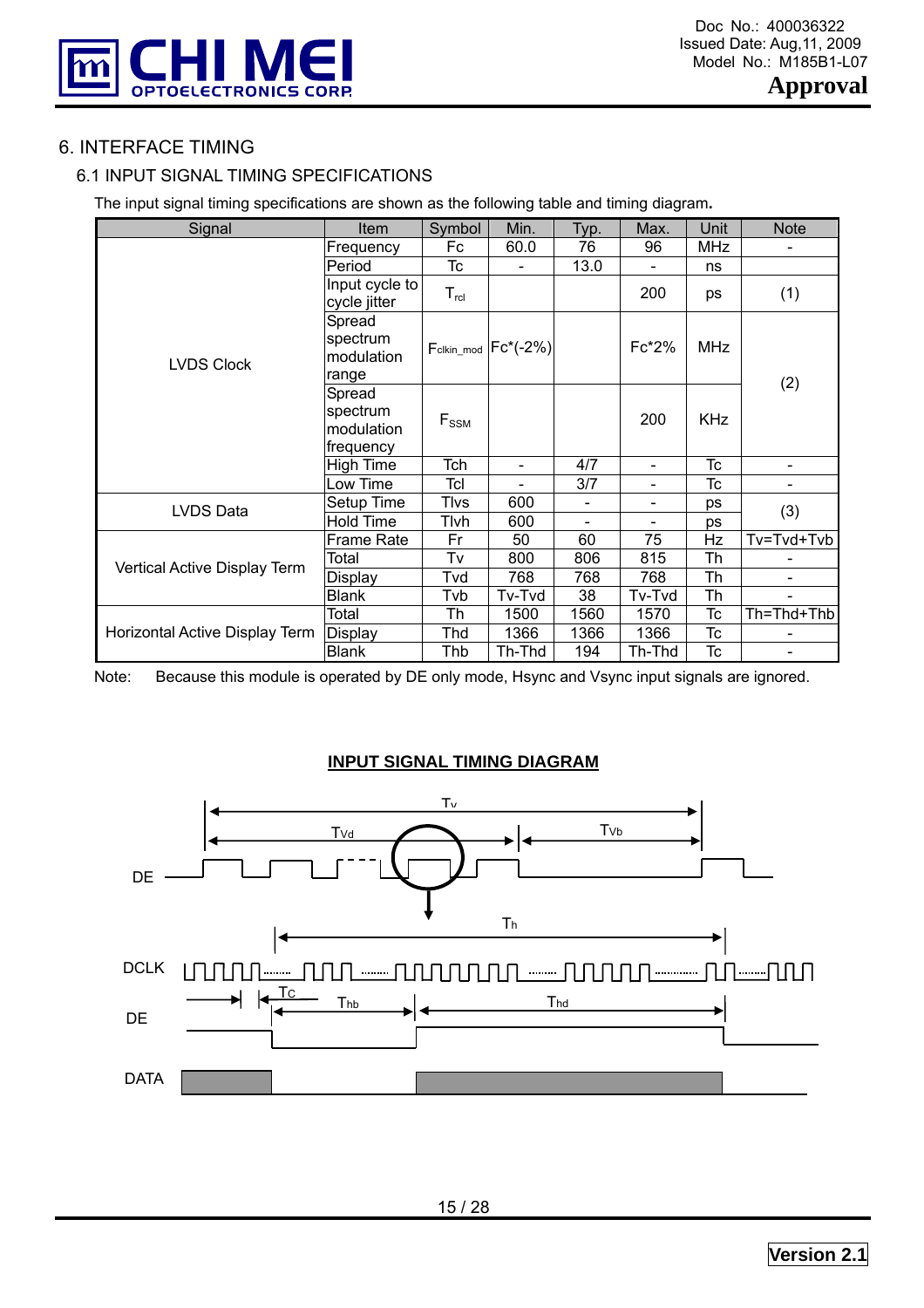

# 6. INTERFACE TIMING

# 6.1 INPUT SIGNAL TIMING SPECIFICATIONS

The input signal timing specifications are shown as the following table and timing diagram**.** 

| Signal                         | Item                                          | Symbol           | Min.        | Typ.                     | Max.                         | Unit       | <b>Note</b>    |
|--------------------------------|-----------------------------------------------|------------------|-------------|--------------------------|------------------------------|------------|----------------|
|                                | Frequency                                     | Fc               | 60.0        | 76                       | 96                           | <b>MHz</b> |                |
|                                | Period                                        | Tc               |             | 13.0                     |                              | ns         |                |
|                                | Input cycle to<br>cycle jitter                | $T_{\text{rcl}}$ |             |                          | 200                          | ps         | (1)            |
| <b>LVDS Clock</b>              | Spread<br>spectrum<br>modulation<br>range     | Fclkin_mod       | $Fc^*(-2%)$ |                          | $Fc*2%$                      | MHz        |                |
|                                | Spread<br>spectrum<br>modulation<br>frequency | $F_{SSM}$        |             |                          | 200                          | <b>KHz</b> | (2)            |
|                                | <b>High Time</b>                              | Tch              | ÷           | 4/7                      | $\blacksquare$               | <b>Tc</b>  |                |
|                                | Low Time                                      | Tcl              |             | 3/7                      | $\qquad \qquad \blacksquare$ | Tc         |                |
| LVDS Data                      | Setup Time                                    | Tlvs             | 600         | $\overline{\phantom{a}}$ | -                            | ps         |                |
|                                | <b>Hold Time</b>                              | Tlvh             | 600         | $\overline{\phantom{a}}$ | $\overline{\phantom{a}}$     | ps         | (3)            |
|                                | <b>Frame Rate</b>                             | Fr               | 50          | 60                       | 75                           | Hz         | Tv=Tvd+Tvb     |
| Vertical Active Display Term   | Total                                         | Tv               | 800         | 806                      | 815                          | Th         |                |
|                                | Display                                       | Tvd              | 768         | 768                      | 768                          | Th         | $\blacksquare$ |
|                                | <b>Blank</b>                                  | Tvb              | Tv-Tvd      | 38                       | Tv-Tvd                       | Th         |                |
|                                | Total                                         | Th               | 1500        | 1560                     | 1570                         | Tc         | Th=Thd+Thb     |
| Horizontal Active Display Term | <b>Display</b>                                | Thd              | 1366        | 1366                     | 1366                         | Tc         |                |
|                                | <b>Blank</b>                                  | Thb              | Th-Thd      | 194                      | Th-Thd                       | Тc         |                |

Note: Because this module is operated by DE only mode, Hsync and Vsync input signals are ignored.

## **INPUT SIGNAL TIMING DIAGRAM**

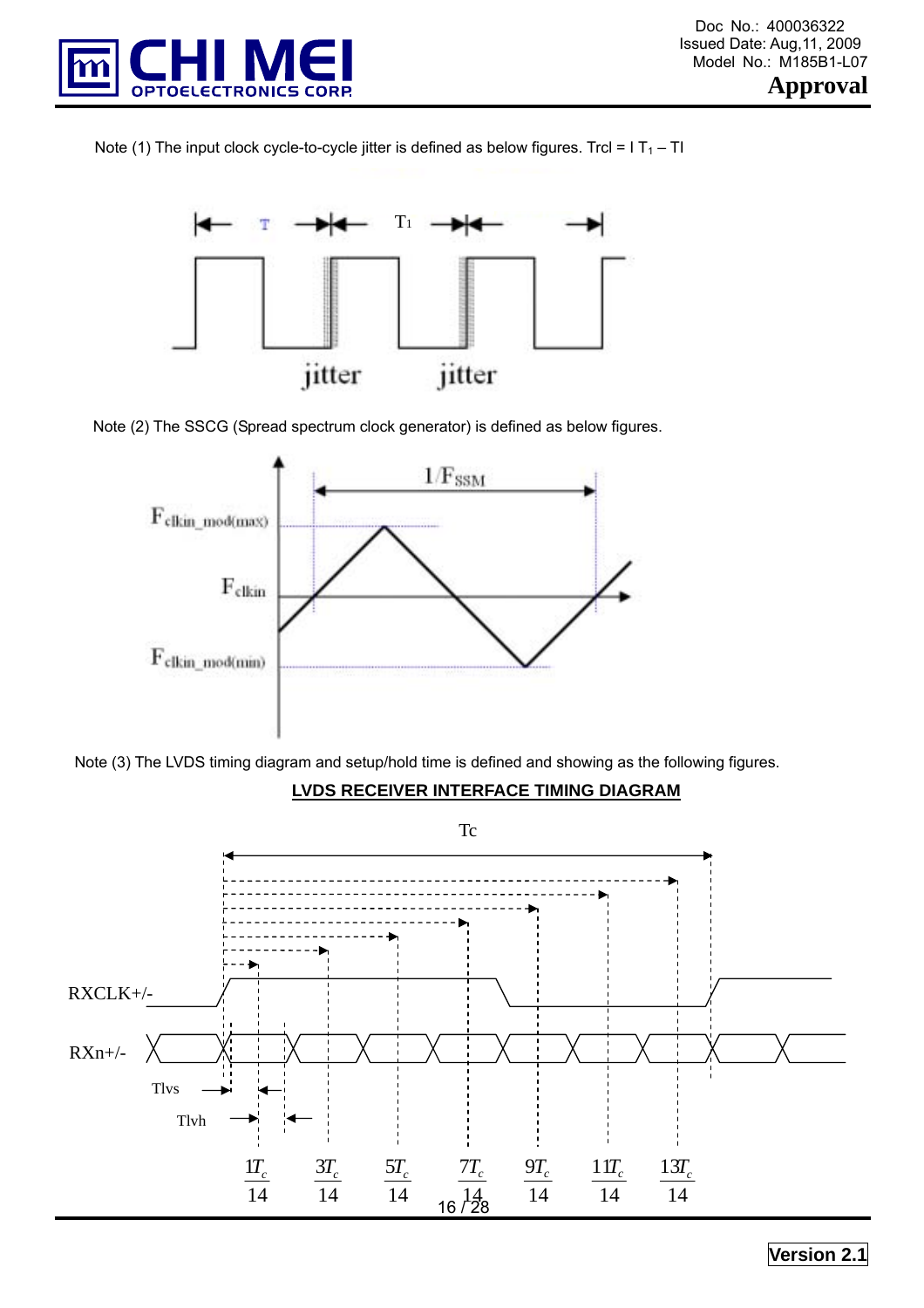





Note (2) The SSCG (Spread spectrum clock generator) is defined as below figures.



Note (3) The LVDS timing diagram and setup/hold time is defined and showing as the following figures.

## **LVDS RECEIVER INTERFACE TIMING DIAGRAM**

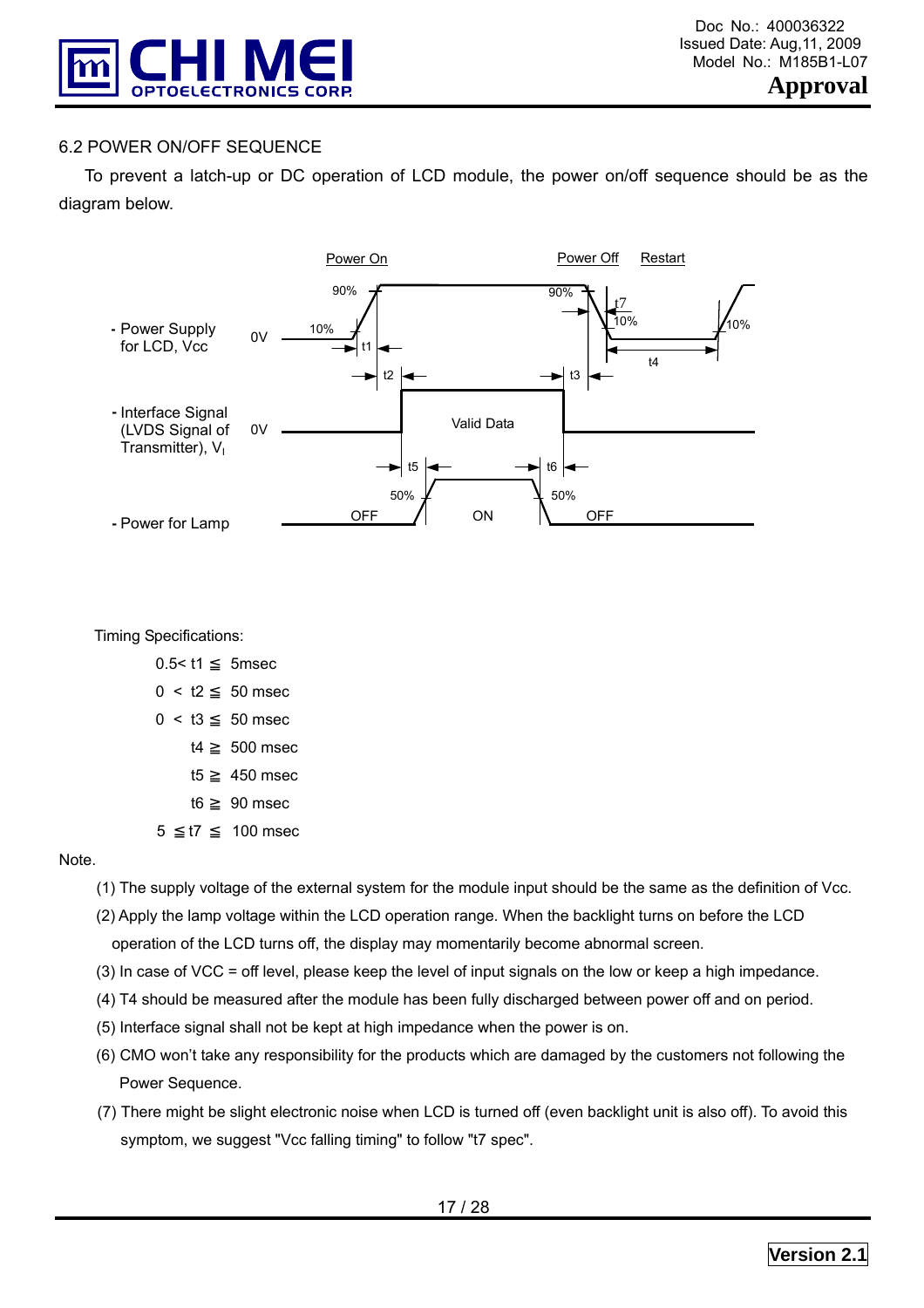

#### 6.2 POWER ON/OFF SEQUENCE

 To prevent a latch-up or DC operation of LCD module, the power on/off sequence should be as the diagram below.



Timing Specifications:

| $0.5 <$ t1 | 5 <sub>msec</sub> |
|------------|-------------------|
| 0 < t2     | 50 msec           |
| 0 < t3     | 50 msec           |

- t4 500 msec
	- t5 450 msec
	- t6 90 msec
- 5 t7 100 msec

#### Note.

- (1) The supply voltage of the external system for the module input should be the same as the definition of Vcc.
- (2) Apply the lamp voltage within the LCD operation range. When the backlight turns on before the LCD operation of the LCD turns off, the display may momentarily become abnormal screen.
- (3) In case of VCC = off level, please keep the level of input signals on the low or keep a high impedance.
- (4) T4 should be measured after the module has been fully discharged between power off and on period.
- (5) Interface signal shall not be kept at high impedance when the power is on.
- (6) CMO won't take any responsibility for the products which are damaged by the customers not following the Power Sequence.
- (7) There might be slight electronic noise when LCD is turned off (even backlight unit is also off). To avoid this symptom, we suggest "Vcc falling timing" to follow "t7 spec".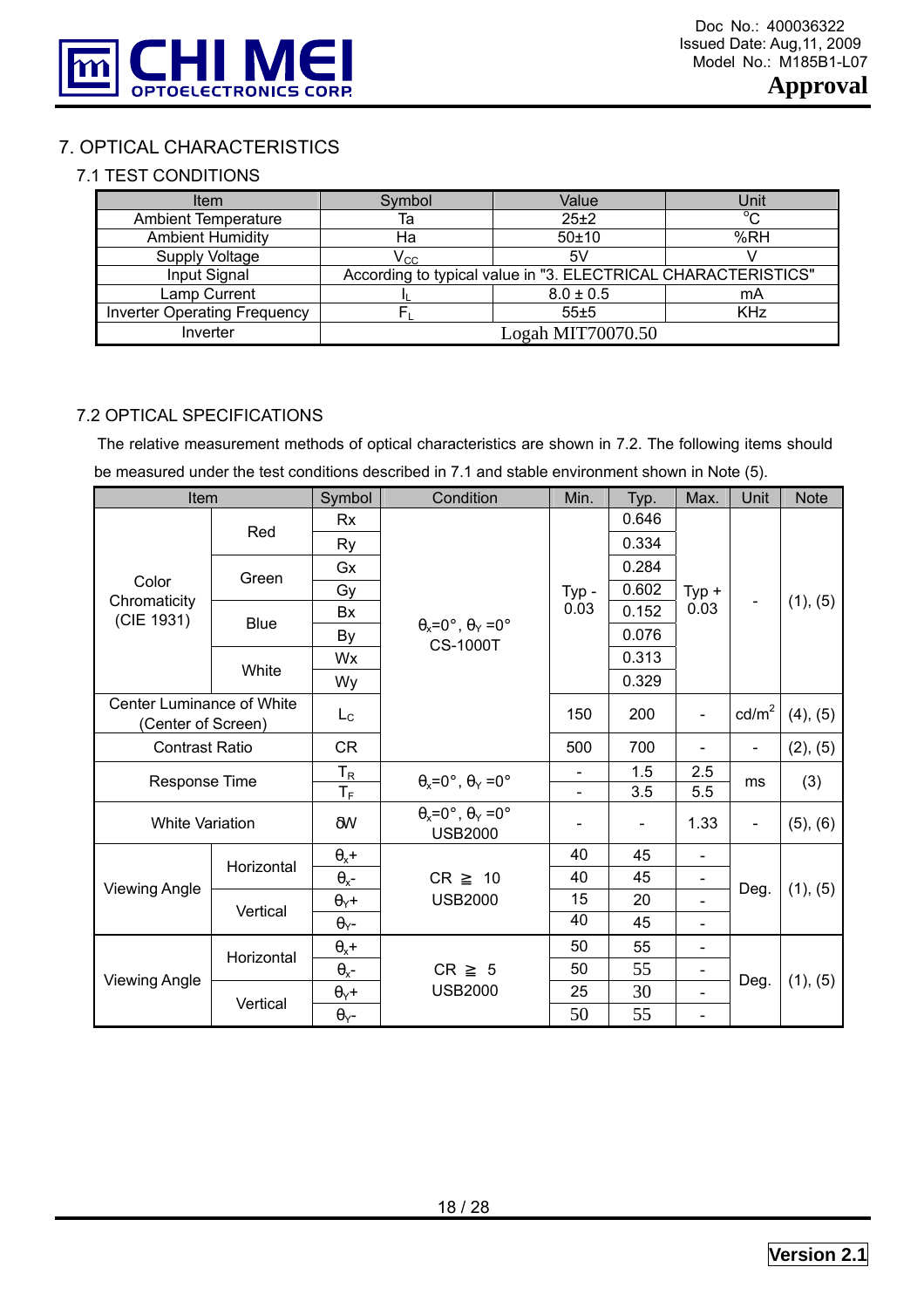

# 7. OPTICAL CHARACTERISTICS

# 7.1 TEST CONDITIONS

| Item                                | Symbol                     | Value                                                         | Unit         |
|-------------------------------------|----------------------------|---------------------------------------------------------------|--------------|
| <b>Ambient Temperature</b>          | Та                         | $25+2$                                                        | $^{\circ}$ C |
| <b>Ambient Humidity</b>             | Ha                         | 50±10                                                         | %RH          |
| Supply Voltage                      | $\mathsf{V}_{\mathrm{CC}}$ | 5٧                                                            |              |
| Input Signal                        |                            | According to typical value in "3. ELECTRICAL CHARACTERISTICS" |              |
| Lamp Current                        |                            | $8.0 \pm 0.5$                                                 | mA           |
| <b>Inverter Operating Frequency</b> |                            | 55±5                                                          | <b>KHz</b>   |
| Inverter                            |                            | Logah MIT70070.50                                             |              |

#### 7.2 OPTICAL SPECIFICATIONS

The relative measurement methods of optical characteristics are shown in 7.2. The following items should be measured under the test conditions described in 7.1 and stable environment shown in Note (5).

| Item                                            |                       | Symbol                  | Condition                                                      | Min.                         | Typ.                     | Max.                     | Unit                     | <b>Note</b> |
|-------------------------------------------------|-----------------------|-------------------------|----------------------------------------------------------------|------------------------------|--------------------------|--------------------------|--------------------------|-------------|
|                                                 |                       | <b>Rx</b>               |                                                                |                              | 0.646                    |                          |                          |             |
|                                                 | Red                   | Ry                      |                                                                |                              | 0.334                    |                          |                          |             |
|                                                 | Green                 | Gx                      |                                                                |                              | 0.284                    |                          |                          |             |
| Color                                           |                       | Gy                      |                                                                | Typ-                         | 0.602                    | $Typ +$                  |                          |             |
| Chromaticity<br>(CIE 1931)                      |                       | Bx                      |                                                                | 0.03                         | 0.152                    | 0.03                     |                          | (1), (5)    |
|                                                 | <b>Blue</b>           | By                      | $\theta_x = 0^\circ$ , $\theta_y = 0^\circ$<br><b>CS-1000T</b> |                              | 0.076                    |                          |                          |             |
|                                                 |                       | Wx                      |                                                                |                              | 0.313                    |                          |                          |             |
|                                                 | White                 | Wy                      |                                                                |                              | 0.329                    |                          |                          |             |
| Center Luminance of White<br>(Center of Screen) |                       | $L_{\rm C}$             |                                                                | 150                          | 200                      | $\overline{\phantom{a}}$ | $\text{cd/m}^2$          | (4), (5)    |
|                                                 | <b>Contrast Ratio</b> |                         |                                                                | 500                          | 700                      |                          | $\overline{\phantom{a}}$ | (2), (5)    |
|                                                 |                       | $T_R$                   | $\theta_x = 0^\circ$ , $\theta_y = 0^\circ$                    | $\overline{\phantom{a}}$     | 1.5                      | 2.5                      |                          |             |
| <b>Response Time</b>                            |                       | $T_F$                   |                                                                |                              | 3.5                      | 5.5                      | ms                       | (3)         |
| <b>White Variation</b>                          |                       | $\delta W$              | $\theta_x = 0^\circ$ , $\theta_y = 0^\circ$<br><b>USB2000</b>  | $\qquad \qquad \blacksquare$ | $\overline{\phantom{a}}$ | 1.33                     | $\blacksquare$           | (5), (6)    |
|                                                 | Horizontal            | $\theta_x$ +            |                                                                | 40                           | 45                       |                          |                          |             |
| <b>Viewing Angle</b>                            |                       | $\theta_{x}$ -          | <b>CR</b><br>10                                                | 40                           | 45                       |                          |                          |             |
|                                                 | Vertical              | $\theta$ <sub>Y</sub> + | <b>USB2000</b>                                                 | 15                           | 20                       |                          | Deg.                     | (1), (5)    |
|                                                 |                       | $\theta$ <sub>Y</sub> - |                                                                | 40                           | 45                       | $\overline{\phantom{a}}$ |                          |             |
|                                                 | Horizontal            | $\theta_x$ +            |                                                                | 50                           | 55                       | $\overline{\phantom{a}}$ |                          |             |
|                                                 |                       | $\theta_{x}$ -          | CR<br>5                                                        | 50                           | 55                       | $\overline{\phantom{a}}$ |                          |             |
| <b>Viewing Angle</b>                            | Vertical              | $\theta$ <sub>Y</sub> + | <b>USB2000</b>                                                 | 25                           | 30                       |                          | Deg.                     | (1), (5)    |
|                                                 |                       | $\theta$ <sub>Y</sub> - |                                                                | 50                           | 55                       |                          |                          |             |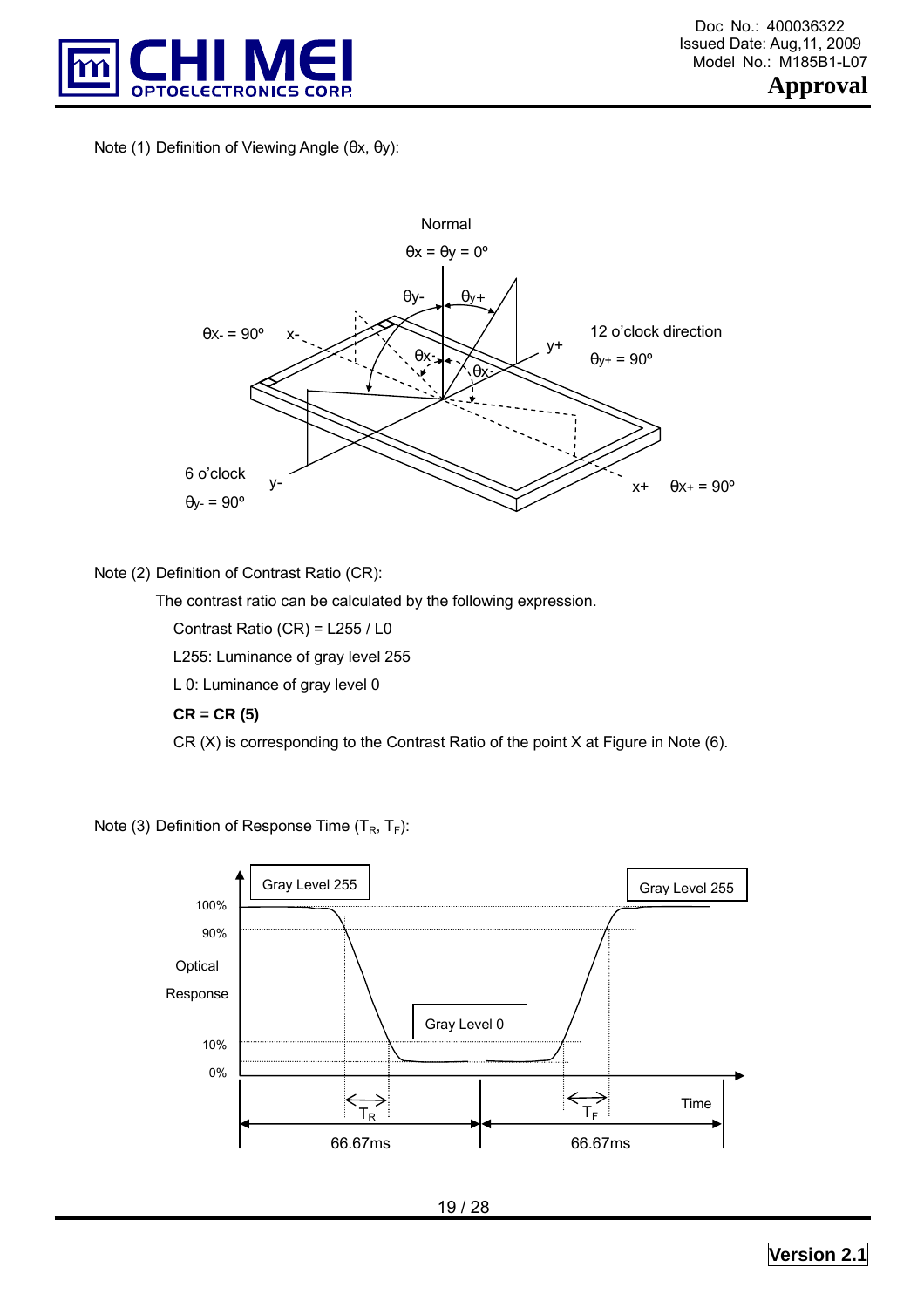

Note (1) Definition of Viewing Angle (θx, θy):



#### Note (2) Definition of Contrast Ratio (CR):

The contrast ratio can be calculated by the following expression.

Contrast Ratio (CR) = L255 / L0

L255: Luminance of gray level 255

L 0: Luminance of gray level 0

#### **CR = CR (5)**

CR (X) is corresponding to the Contrast Ratio of the point X at Figure in Note (6).

Note (3) Definition of Response Time  $(T_R, T_F)$ :

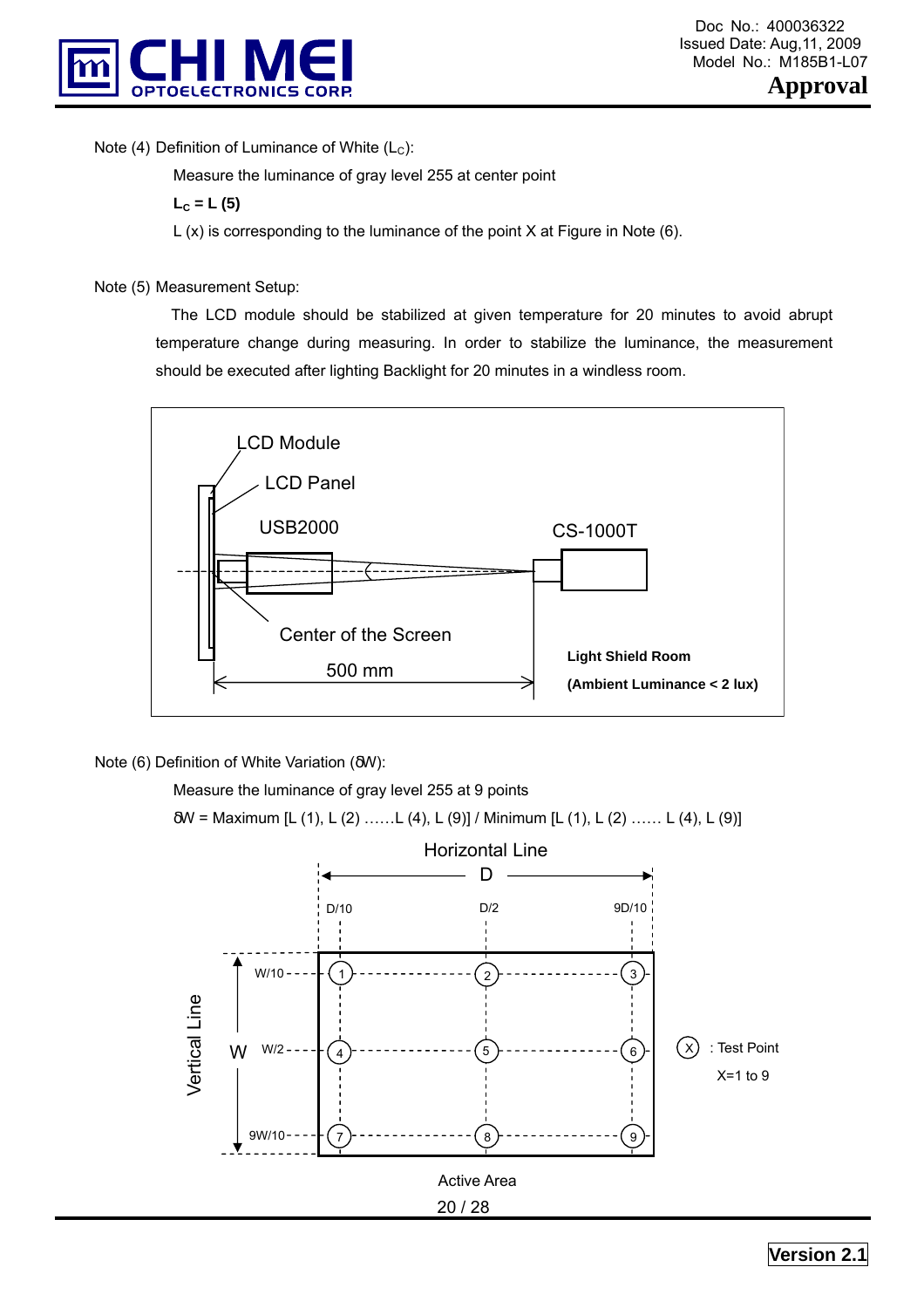

Note (4) Definition of Luminance of White  $(L<sub>C</sub>)$ :

Measure the luminance of gray level 255 at center point

 $L_c = L(5)$ 

 $L(x)$  is corresponding to the luminance of the point X at Figure in Note (6).

Note (5) Measurement Setup:

 The LCD module should be stabilized at given temperature for 20 minutes to avoid abrupt temperature change during measuring. In order to stabilize the luminance, the measurement should be executed after lighting Backlight for 20 minutes in a windless room.



Note (6) Definition of White Variation (δW):

Measure the luminance of gray level 255 at 9 points

δW = Maximum [L (1), L (2) ……L (4), L (9)] / Minimum [L (1), L (2) …… L (4), L (9)]

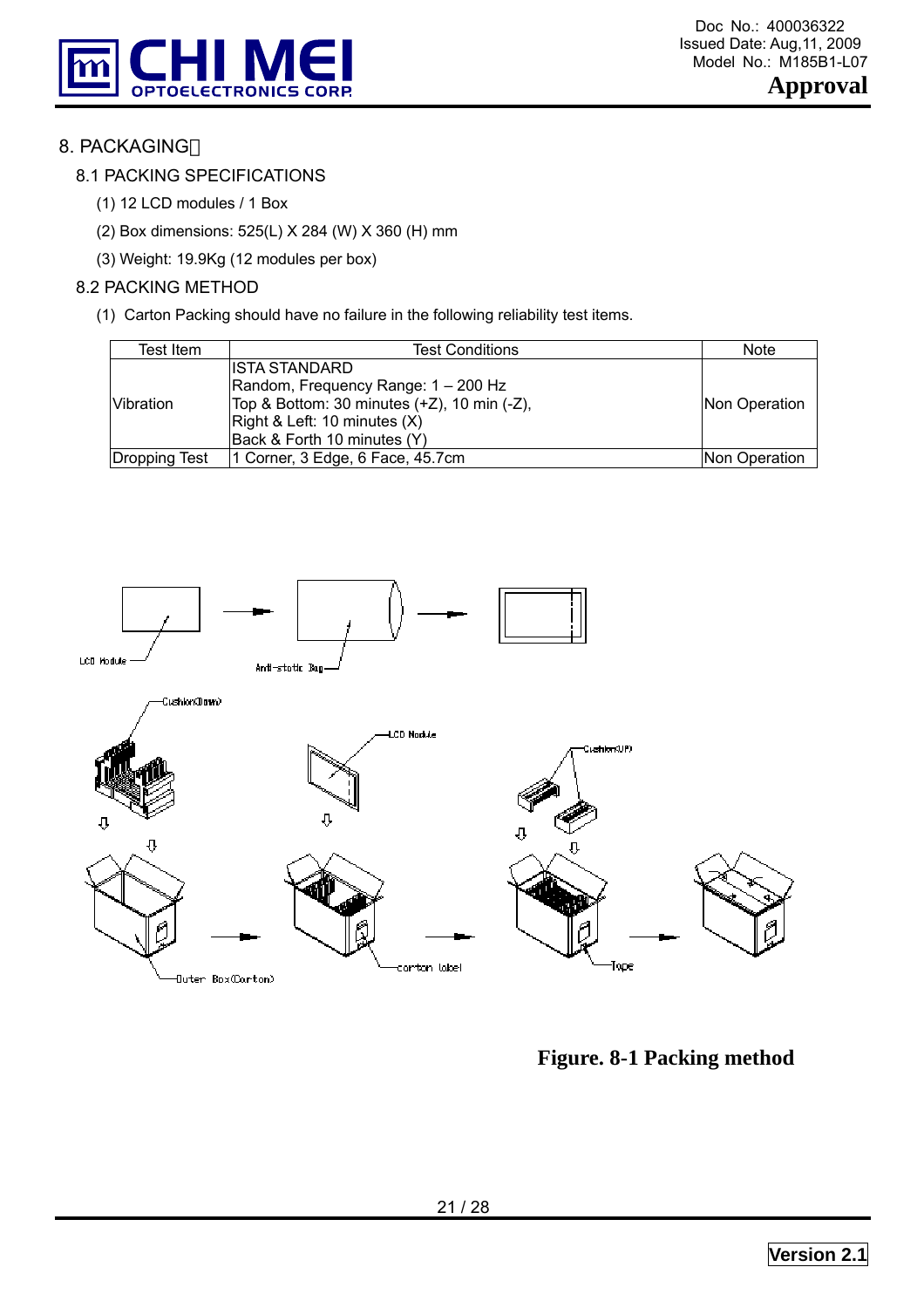



# 8. PACKAGING

## 8.1 PACKING SPECIFICATIONS

- (1) 12 LCD modules / 1 Box
- (2) Box dimensions: 525(L) X 284 (W) X 360 (H) mm
- (3) Weight: 19.9Kg (12 modules per box)

#### 8.2 PACKING METHOD

(1) Carton Packing should have no failure in the following reliability test items.

| Test Item        | <b>Test Conditions</b>                      | <b>Note</b>    |
|------------------|---------------------------------------------|----------------|
|                  | IISTA STANDARD                              |                |
|                  | Random, Frequency Range: 1 - 200 Hz         |                |
| <b>Vibration</b> | Top & Bottom: 30 minutes (+Z), 10 min (-Z), | Non Operation  |
|                  | Right & Left: 10 minutes (X)                |                |
|                  | Back & Forth 10 minutes (Y)                 |                |
| Dropping Test    | 1 Corner, $3$ Edge, $6$ Face, $45.7$ cm     | INon Operation |



**Figure. 8-1 Packing method**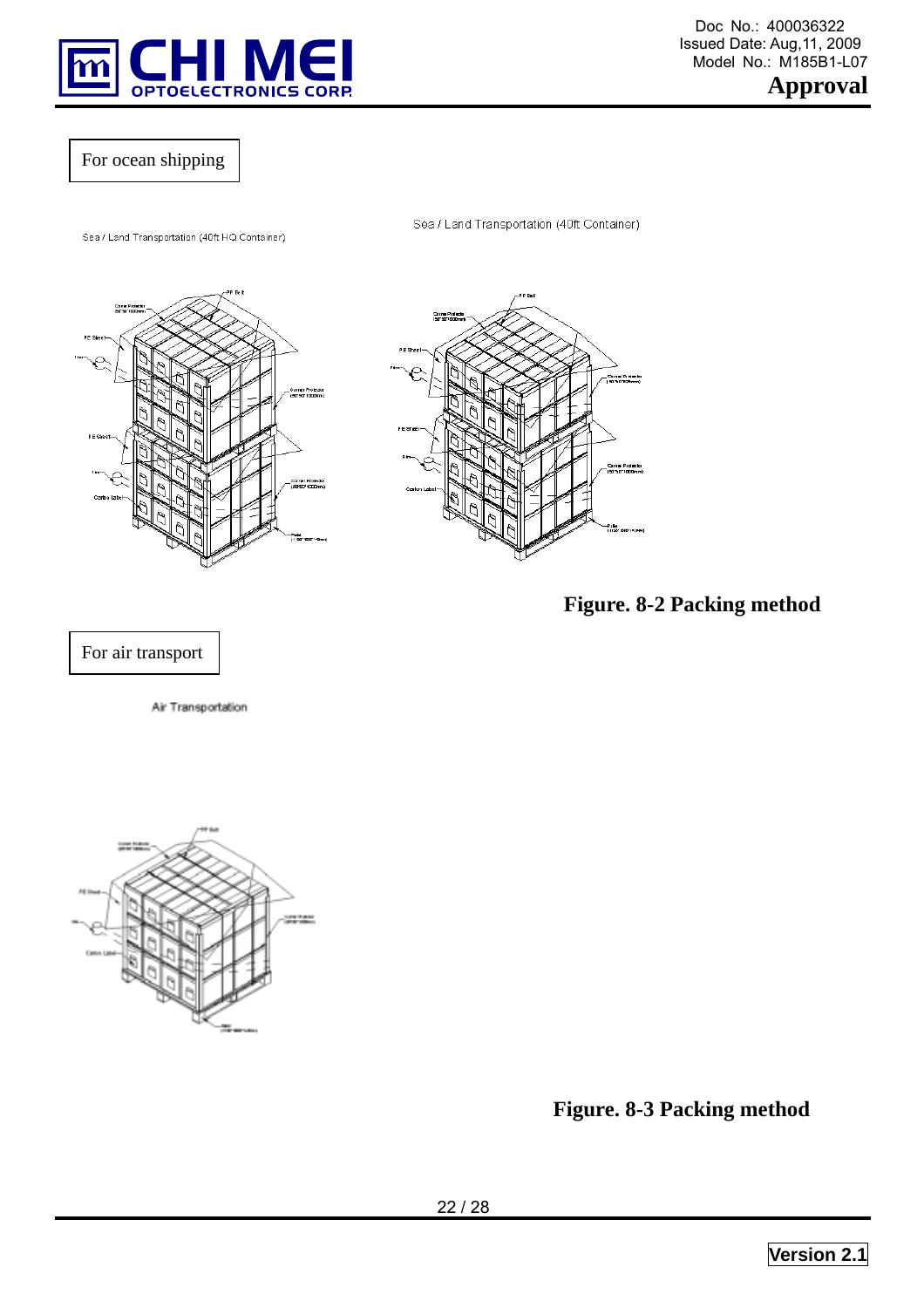

 Doc No.: 400036322 Model No.: M185B1-L07

**Approval** 

# For ocean shipping

Sea / Land Transportation (40ft HQ Container)



Sea / Land Transportation (40ft Container)



**Figure. 8-2 Packing method** 

## For air transport

Air Transportation



**Figure. 8-3 Packing method**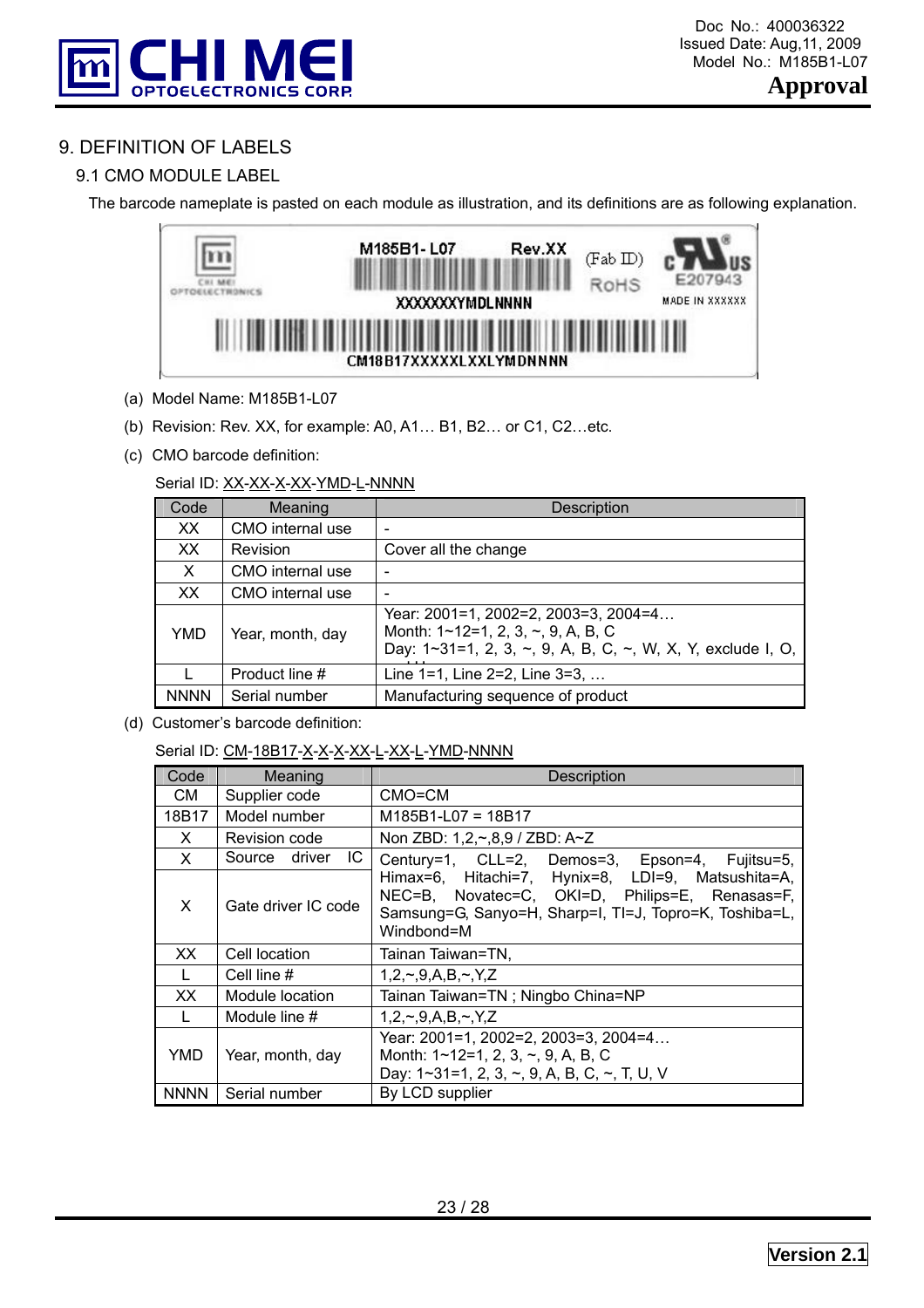

# 9. DEFINITION OF LABELS

# 9.1 CMO MODULE LABEL

The barcode nameplate is pasted on each module as illustration, and its definitions are as following explanation.



- (a) Model Name: M185B1-L07
- (b) Revision: Rev. XX, for example: A0, A1… B1, B2… or C1, C2…etc.
- (c) CMO barcode definition:

#### Serial ID: XX-XX-X-XX-YMD-L-NNNN

| Code        | Meaning          | Description                                                                                                                                           |
|-------------|------------------|-------------------------------------------------------------------------------------------------------------------------------------------------------|
| XX.         | CMO internal use |                                                                                                                                                       |
| XX          | <b>Revision</b>  | Cover all the change                                                                                                                                  |
| X           | CMO internal use |                                                                                                                                                       |
| XX          | CMO internal use |                                                                                                                                                       |
| <b>YMD</b>  | Year, month, day | Year: 2001=1, 2002=2, 2003=3, 2004=4<br>Month: $1 \sim 12 = 1, 2, 3, \sim, 9, A, B, C$<br>Day: 1~31=1, 2, 3, ~, 9, A, B, C, ~, W, X, Y, exclude I, O, |
|             | Product line #   | Line $1=1$ , Line $2=2$ , Line $3=3, \ldots$                                                                                                          |
| <b>NNNN</b> | Serial number    | Manufacturing sequence of product                                                                                                                     |

(d) Customer's barcode definition:

#### Serial ID: CM-18B17-X-X-X-X-XX-L-XX-L-YMD-NNNN

| Code         | Meaning              | <b>Description</b>                                                                                                                                                          |
|--------------|----------------------|-----------------------------------------------------------------------------------------------------------------------------------------------------------------------------|
| CM.          | Supplier code        | CMO=CM                                                                                                                                                                      |
| 18B17        | Model number         | $M185B1$ -L07 = 18B17                                                                                                                                                       |
| X            | Revision code        | Non ZBD: 1,2,~,8,9 / ZBD: A~Z                                                                                                                                               |
| $\mathsf{X}$ | IC.<br>Source driver | Century=1, CLL=2, Demos=3, Epson=4, Fujitsu=5,                                                                                                                              |
| X            | Gate driver IC code  | Himax=6, Hitachi=7, Hynix=8, LDI=9, Matsushita=A,<br>NEC=B, Novatec=C, OKI=D, Philips=E, Renasas=F,<br>Samsung=G, Sanyo=H, Sharp=I, TI=J, Topro=K, Toshiba=L,<br>Windbond=M |
| XX.          | Cell location        | Tainan Taiwan=TN,                                                                                                                                                           |
| $\mathbf{L}$ | Cell line #          | $1, 2, \sim 0, A, B, \sim 0, Z$                                                                                                                                             |
| XX           | Module location      | Tainan Taiwan=TN; Ningbo China=NP                                                                                                                                           |
|              | Module line #        | $1, 2, \sim 0, A, B, \sim 0, Y, Z$                                                                                                                                          |
| YMD          | Year, month, day     | Year: 2001=1, 2002=2, 2003=3, 2004=4<br>Month: $1 \sim 12 = 1, 2, 3, \sim, 9, A, B, C$<br>Day: 1~31=1, 2, 3, ~, 9, A, B, C, ~, T, U, V                                      |
| <b>NNNN</b>  | Serial number        | By LCD supplier                                                                                                                                                             |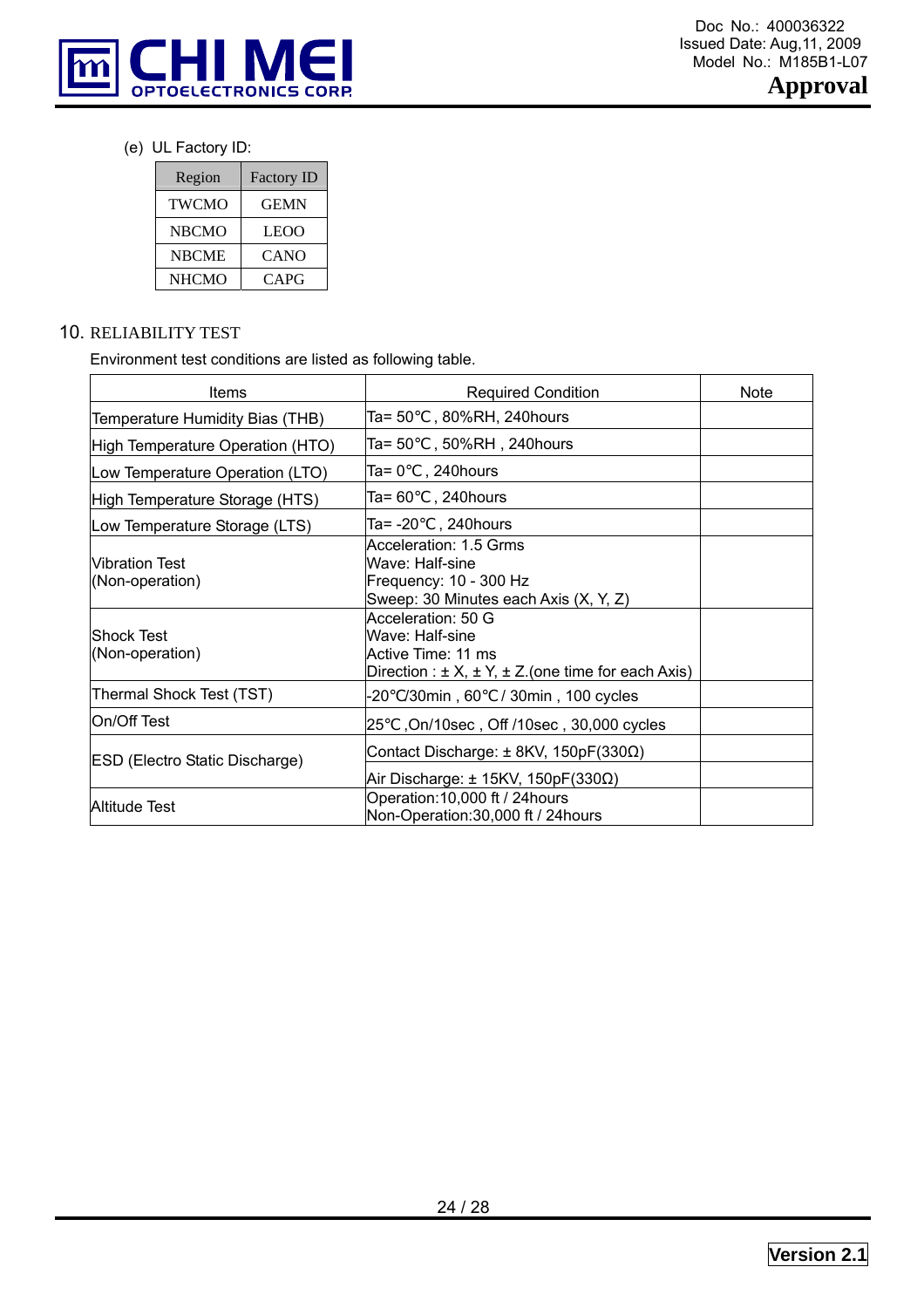

(e) UL Factory ID:

| Region       | <b>Factory ID</b> |
|--------------|-------------------|
| <b>TWCMO</b> | <b>GEMN</b>       |
| <b>NBCMO</b> | <b>LEOO</b>       |
| <b>NBCME</b> | <b>CANO</b>       |
| <b>NHCMO</b> | CAPG              |

# 10. RELIABILITY TEST

Environment test conditions are listed as following table.

| Items                                    | <b>Required Condition</b>                                                                                                     | Note |  |
|------------------------------------------|-------------------------------------------------------------------------------------------------------------------------------|------|--|
| Temperature Humidity Bias (THB)          | Ta= 50<br>, 80%RH, 240hours                                                                                                   |      |  |
| High Temperature Operation (HTO)         | Ta= 50<br>, 50%RH, 240hours                                                                                                   |      |  |
| Low Temperature Operation (LTO)          | , 240 hours<br>Ta= 0                                                                                                          |      |  |
| High Temperature Storage (HTS)           | Ta= 60<br>, 240hours                                                                                                          |      |  |
| Low Temperature Storage (LTS)            | Ta= -20 , 240 hours                                                                                                           |      |  |
| <b>Vibration Test</b><br>(Non-operation) | Acceleration: 1.5 Grms<br>Wave: Half-sine<br>Frequency: 10 - 300 Hz<br>Sweep: 30 Minutes each Axis (X, Y, Z)                  |      |  |
| Shock Test<br>(Non-operation)            | Acceleration: 50 G<br>Wave: Half-sine<br>Active Time: 11 ms<br>Direction : $\pm$ X, $\pm$ Y, $\pm$ Z.(one time for each Axis) |      |  |
| Thermal Shock Test (TST)                 | /30min, 60 / 30min, 100 cycles<br>-20                                                                                         |      |  |
| On/Off Test                              | 25<br>On/10sec, Off /10sec, 30,000 cycles                                                                                     |      |  |
| ESD (Electro Static Discharge)           | Contact Discharge: $±$ 8KV, 150pF(330Ω)<br>Air Discharge: $\pm$ 15KV, 150pF(330 $\Omega$ )                                    |      |  |
| Altitude Test                            | Operation: 10,000 ft / 24 hours<br>Non-Operation: 30,000 ft / 24 hours                                                        |      |  |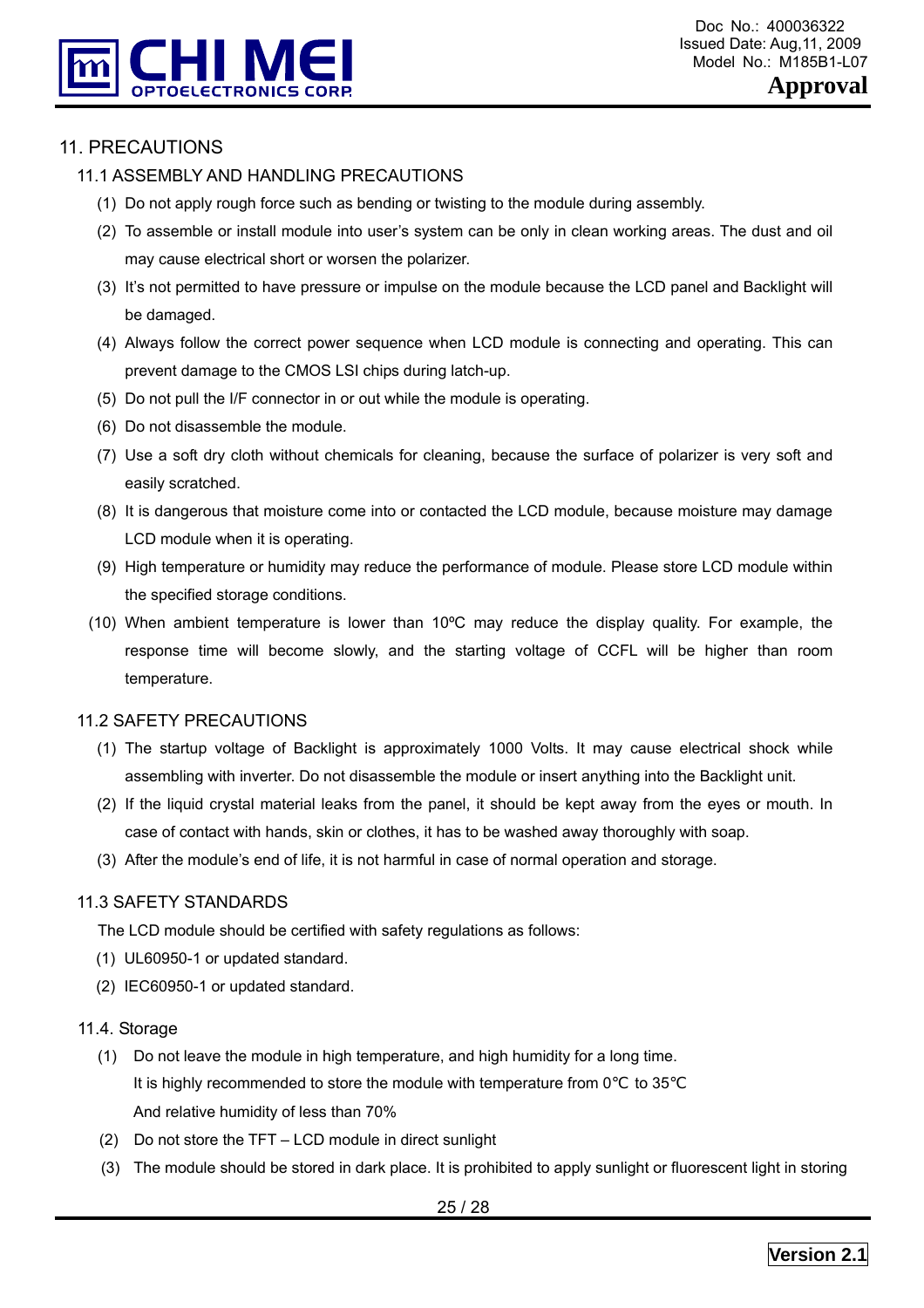

# 11. PRECAUTIONS

#### 11.1 ASSEMBLY AND HANDLING PRECAUTIONS

- (1) Do not apply rough force such as bending or twisting to the module during assembly.
- (2) To assemble or install module into user's system can be only in clean working areas. The dust and oil may cause electrical short or worsen the polarizer.
- (3) It's not permitted to have pressure or impulse on the module because the LCD panel and Backlight will be damaged.
- (4) Always follow the correct power sequence when LCD module is connecting and operating. This can prevent damage to the CMOS LSI chips during latch-up.
- (5) Do not pull the I/F connector in or out while the module is operating.
- (6) Do not disassemble the module.
- (7) Use a soft dry cloth without chemicals for cleaning, because the surface of polarizer is very soft and easily scratched.
- (8) It is dangerous that moisture come into or contacted the LCD module, because moisture may damage LCD module when it is operating.
- (9) High temperature or humidity may reduce the performance of module. Please store LCD module within the specified storage conditions.
- (10) When ambient temperature is lower than 10ºC may reduce the display quality. For example, the response time will become slowly, and the starting voltage of CCFL will be higher than room temperature.

#### 11.2 SAFETY PRECAUTIONS

- (1) The startup voltage of Backlight is approximately 1000 Volts. It may cause electrical shock while assembling with inverter. Do not disassemble the module or insert anything into the Backlight unit.
- (2) If the liquid crystal material leaks from the panel, it should be kept away from the eyes or mouth. In case of contact with hands, skin or clothes, it has to be washed away thoroughly with soap.
- (3) After the module's end of life, it is not harmful in case of normal operation and storage.

#### 11.3 SAFETY STANDARDS

The LCD module should be certified with safety regulations as follows:

- (1) UL60950-1 or updated standard.
- (2) IEC60950-1 or updated standard.

#### 11.4. Storage

- (1) Do not leave the module in high temperature, and high humidity for a long time. It is highly recommended to store the module with temperature from 0 to 35 And relative humidity of less than 70%
- (2) Do not store the TFT LCD module in direct sunlight
- (3) The module should be stored in dark place. It is prohibited to apply sunlight or fluorescent light in storing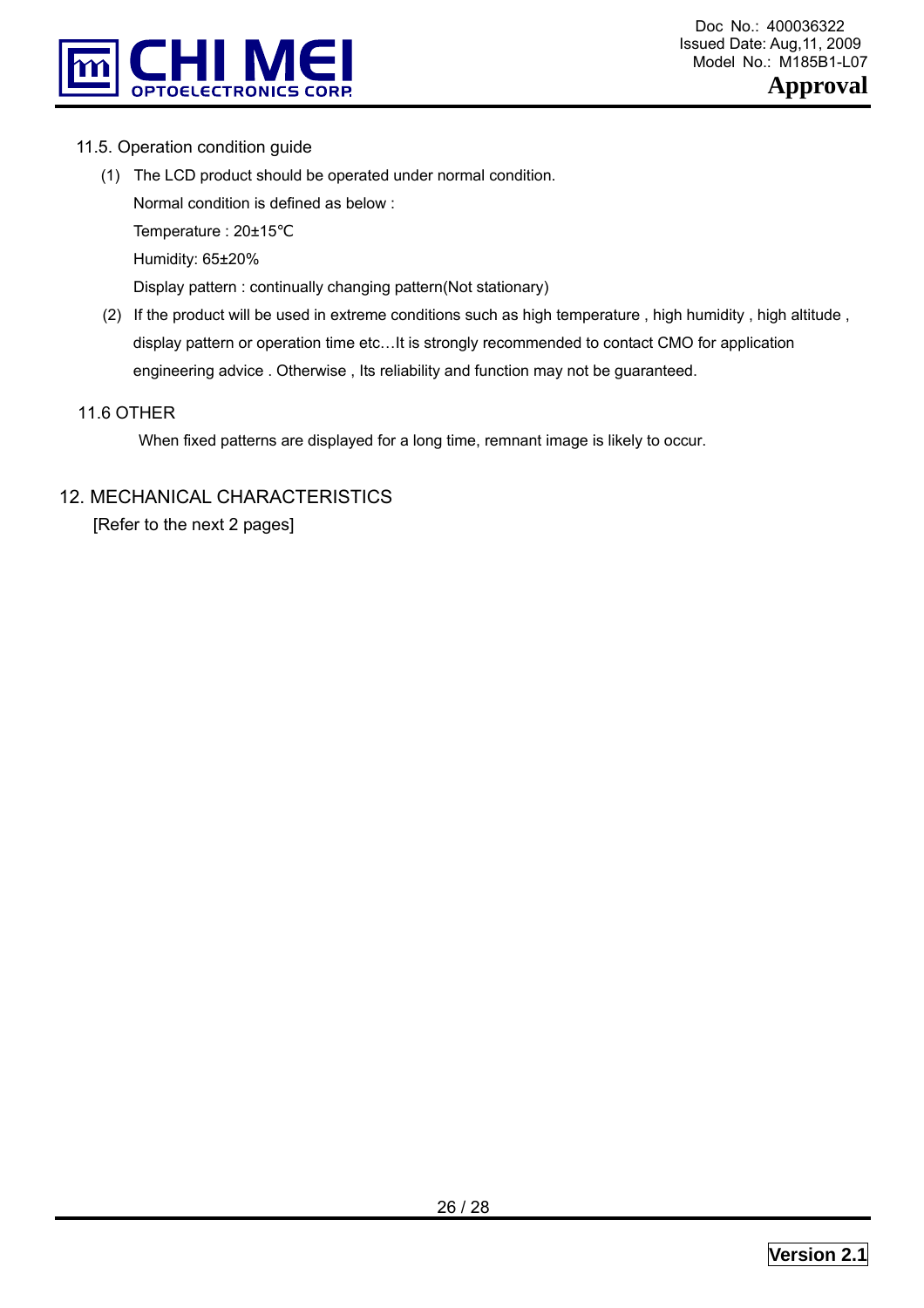

#### 11.5. Operation condition guide

- (1) The LCD product should be operated under normal condition. Normal condition is defined as below : Temperature : 20±15 Humidity: 65±20% Display pattern : continually changing pattern(Not stationary)
- (2) If the product will be used in extreme conditions such as high temperature , high humidity , high altitude , display pattern or operation time etc…It is strongly recommended to contact CMO for application engineering advice . Otherwise , Its reliability and function may not be guaranteed.

#### 11.6 OTHER

When fixed patterns are displayed for a long time, remnant image is likely to occur.

## 12. MECHANICAL CHARACTERISTICS

[Refer to the next 2 pages]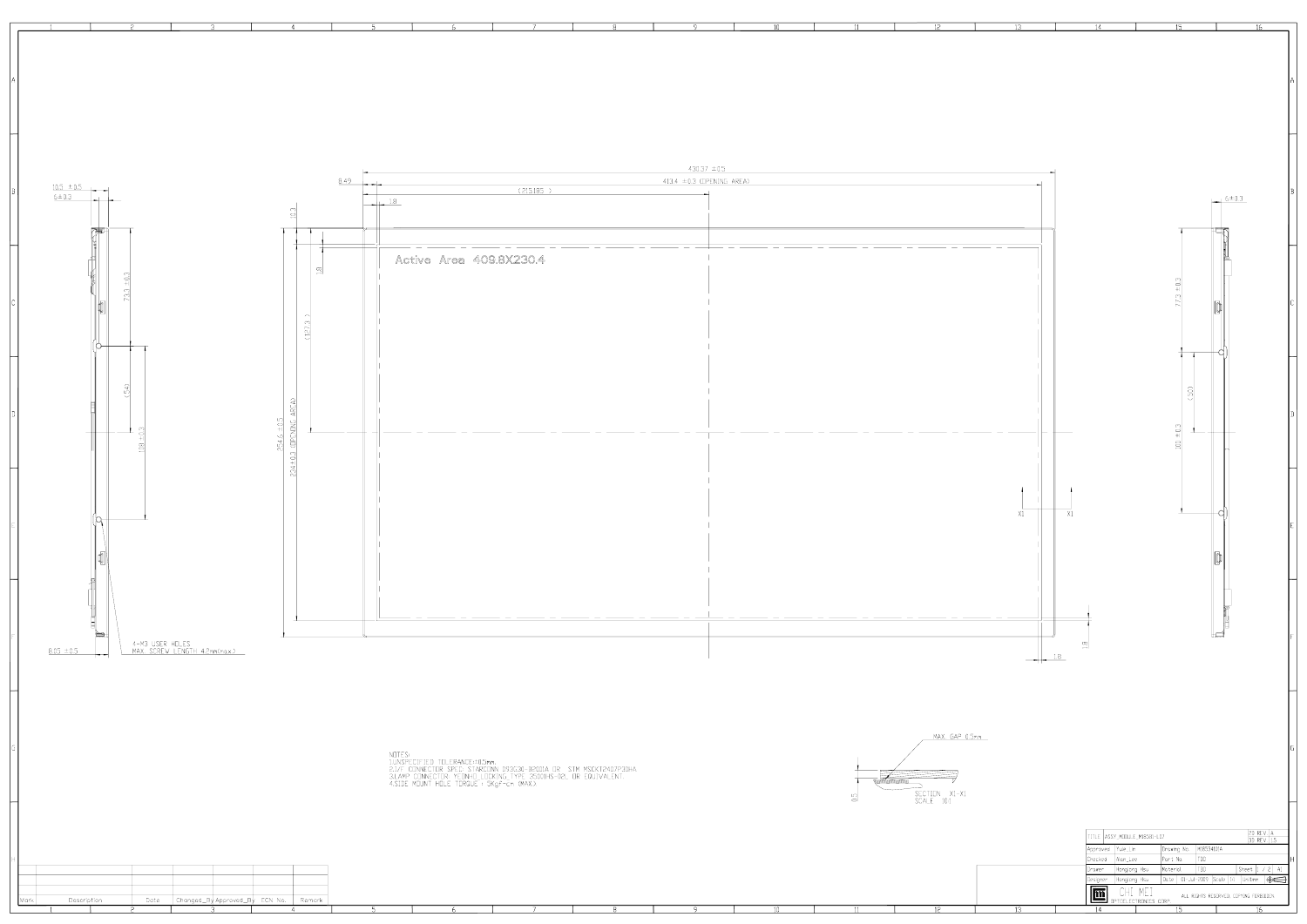